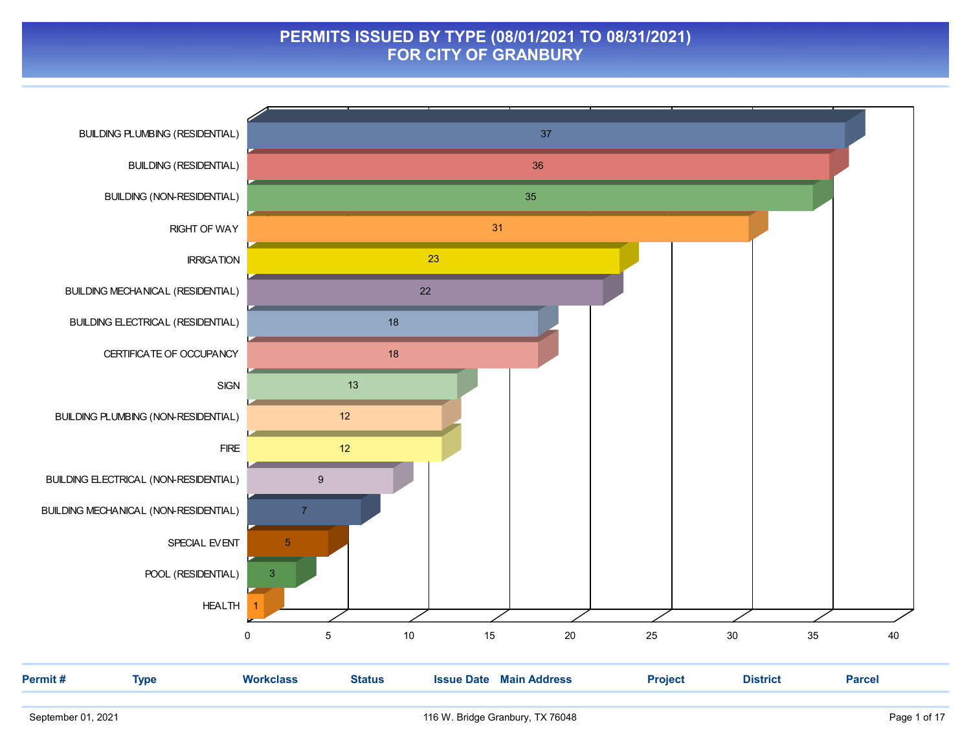#### PERMITS ISSUED BY TYPE (08/01/2021 TO 08/31/2021) FOR CITY OF GRANBURY

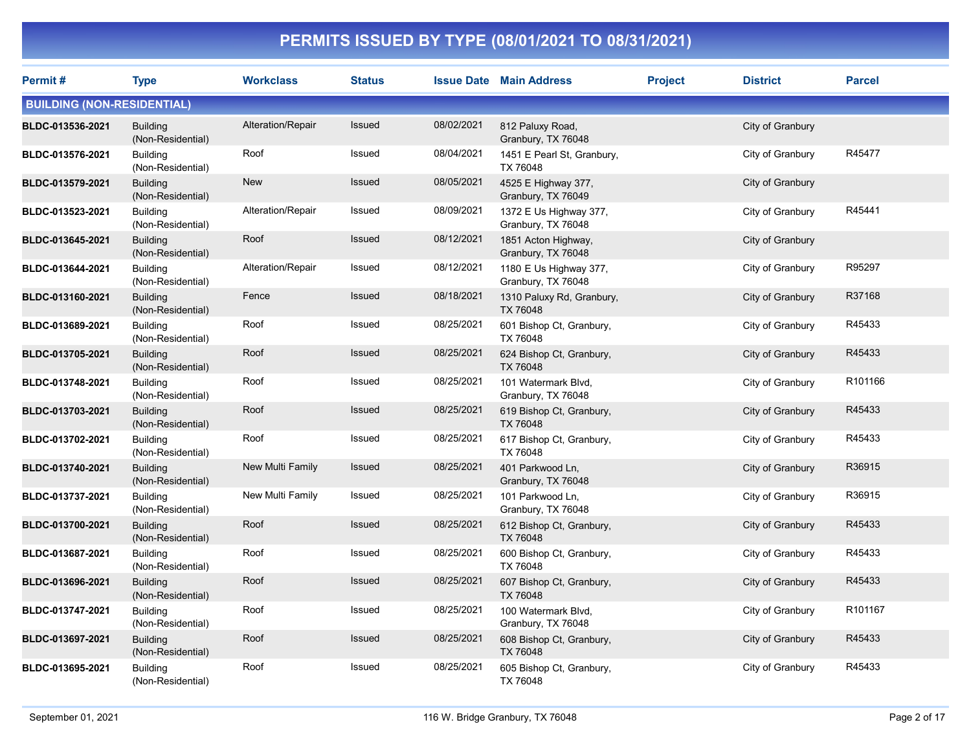| <b>Permit#</b>                    | <b>Type</b>                          | <b>Workclass</b>  | <b>Status</b> |            | <b>Issue Date Main Address</b>               | <b>Project</b> | <b>District</b>  | <b>Parcel</b> |
|-----------------------------------|--------------------------------------|-------------------|---------------|------------|----------------------------------------------|----------------|------------------|---------------|
| <b>BUILDING (NON-RESIDENTIAL)</b> |                                      |                   |               |            |                                              |                |                  |               |
| BLDC-013536-2021                  | <b>Building</b><br>(Non-Residential) | Alteration/Repair | <b>Issued</b> | 08/02/2021 | 812 Paluxy Road,<br>Granbury, TX 76048       |                | City of Granbury |               |
| BLDC-013576-2021                  | <b>Building</b><br>(Non-Residential) | Roof              | Issued        | 08/04/2021 | 1451 E Pearl St, Granbury,<br>TX 76048       |                | City of Granbury | R45477        |
| BLDC-013579-2021                  | <b>Building</b><br>(Non-Residential) | <b>New</b>        | Issued        | 08/05/2021 | 4525 E Highway 377,<br>Granbury, TX 76049    |                | City of Granbury |               |
| BLDC-013523-2021                  | <b>Building</b><br>(Non-Residential) | Alteration/Repair | Issued        | 08/09/2021 | 1372 E Us Highway 377,<br>Granbury, TX 76048 |                | City of Granbury | R45441        |
| BLDC-013645-2021                  | <b>Building</b><br>(Non-Residential) | Roof              | Issued        | 08/12/2021 | 1851 Acton Highway,<br>Granbury, TX 76048    |                | City of Granbury |               |
| BLDC-013644-2021                  | <b>Building</b><br>(Non-Residential) | Alteration/Repair | Issued        | 08/12/2021 | 1180 E Us Highway 377,<br>Granbury, TX 76048 |                | City of Granbury | R95297        |
| BLDC-013160-2021                  | <b>Building</b><br>(Non-Residential) | Fence             | Issued        | 08/18/2021 | 1310 Paluxy Rd, Granbury,<br>TX 76048        |                | City of Granbury | R37168        |
| BLDC-013689-2021                  | <b>Building</b><br>(Non-Residential) | Roof              | Issued        | 08/25/2021 | 601 Bishop Ct, Granbury,<br>TX 76048         |                | City of Granbury | R45433        |
| BLDC-013705-2021                  | <b>Building</b><br>(Non-Residential) | Roof              | Issued        | 08/25/2021 | 624 Bishop Ct, Granbury,<br>TX 76048         |                | City of Granbury | R45433        |
| BLDC-013748-2021                  | <b>Building</b><br>(Non-Residential) | Roof              | Issued        | 08/25/2021 | 101 Watermark Blvd,<br>Granbury, TX 76048    |                | City of Granbury | R101166       |
| BLDC-013703-2021                  | <b>Building</b><br>(Non-Residential) | Roof              | Issued        | 08/25/2021 | 619 Bishop Ct, Granbury,<br>TX 76048         |                | City of Granbury | R45433        |
| BLDC-013702-2021                  | <b>Building</b><br>(Non-Residential) | Roof              | Issued        | 08/25/2021 | 617 Bishop Ct, Granbury,<br>TX 76048         |                | City of Granbury | R45433        |
| BLDC-013740-2021                  | <b>Building</b><br>(Non-Residential) | New Multi Family  | <b>Issued</b> | 08/25/2021 | 401 Parkwood Ln,<br>Granbury, TX 76048       |                | City of Granbury | R36915        |
| BLDC-013737-2021                  | <b>Building</b><br>(Non-Residential) | New Multi Family  | Issued        | 08/25/2021 | 101 Parkwood Ln,<br>Granbury, TX 76048       |                | City of Granbury | R36915        |
| BLDC-013700-2021                  | <b>Building</b><br>(Non-Residential) | Roof              | <b>Issued</b> | 08/25/2021 | 612 Bishop Ct, Granbury,<br>TX 76048         |                | City of Granbury | R45433        |
| BLDC-013687-2021                  | <b>Building</b><br>(Non-Residential) | Roof              | Issued        | 08/25/2021 | 600 Bishop Ct, Granbury,<br>TX 76048         |                | City of Granbury | R45433        |
| BLDC-013696-2021                  | <b>Building</b><br>(Non-Residential) | Roof              | Issued        | 08/25/2021 | 607 Bishop Ct, Granbury,<br>TX 76048         |                | City of Granbury | R45433        |
| BLDC-013747-2021                  | <b>Building</b><br>(Non-Residential) | Roof              | Issued        | 08/25/2021 | 100 Watermark Blvd,<br>Granbury, TX 76048    |                | City of Granbury | R101167       |
| BLDC-013697-2021                  | <b>Building</b><br>(Non-Residential) | Roof              | Issued        | 08/25/2021 | 608 Bishop Ct, Granbury,<br>TX 76048         |                | City of Granbury | R45433        |
| BLDC-013695-2021                  | <b>Building</b><br>(Non-Residential) | Roof              | Issued        | 08/25/2021 | 605 Bishop Ct, Granbury,<br>TX 76048         |                | City of Granbury | R45433        |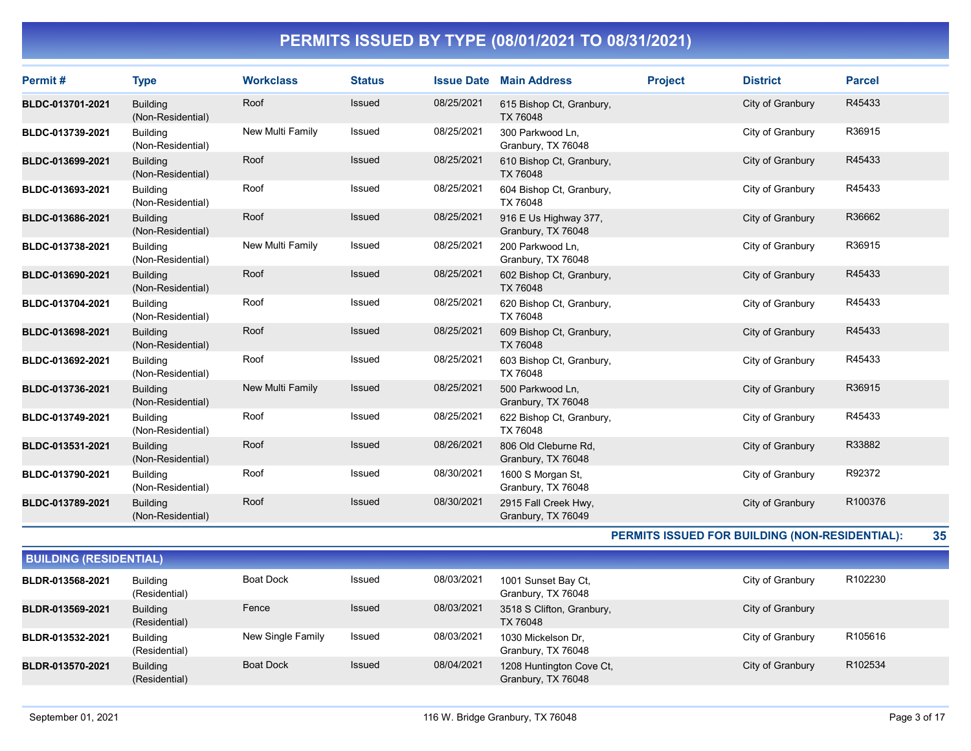| Permit#          | <b>Type</b>                          | <b>Workclass</b> | <b>Status</b> | <b>Issue Date</b> | <b>Main Address</b>                         | <b>Project</b> | <b>District</b>  | <b>Parcel</b> |
|------------------|--------------------------------------|------------------|---------------|-------------------|---------------------------------------------|----------------|------------------|---------------|
| BLDC-013701-2021 | <b>Building</b><br>(Non-Residential) | Roof             | Issued        | 08/25/2021        | 615 Bishop Ct, Granbury,<br>TX 76048        |                | City of Granbury | R45433        |
| BLDC-013739-2021 | <b>Building</b><br>(Non-Residential) | New Multi Family | Issued        | 08/25/2021        | 300 Parkwood Ln.<br>Granbury, TX 76048      |                | City of Granbury | R36915        |
| BLDC-013699-2021 | <b>Building</b><br>(Non-Residential) | Roof             | <b>Issued</b> | 08/25/2021        | 610 Bishop Ct, Granbury,<br>TX 76048        |                | City of Granbury | R45433        |
| BLDC-013693-2021 | <b>Building</b><br>(Non-Residential) | Roof             | <b>Issued</b> | 08/25/2021        | 604 Bishop Ct, Granbury,<br>TX 76048        |                | City of Granbury | R45433        |
| BLDC-013686-2021 | <b>Building</b><br>(Non-Residential) | Roof             | Issued        | 08/25/2021        | 916 E Us Highway 377,<br>Granbury, TX 76048 |                | City of Granbury | R36662        |
| BLDC-013738-2021 | <b>Building</b><br>(Non-Residential) | New Multi Family | <b>Issued</b> | 08/25/2021        | 200 Parkwood Ln,<br>Granbury, TX 76048      |                | City of Granbury | R36915        |
| BLDC-013690-2021 | <b>Building</b><br>(Non-Residential) | Roof             | <b>Issued</b> | 08/25/2021        | 602 Bishop Ct, Granbury,<br>TX 76048        |                | City of Granbury | R45433        |
| BLDC-013704-2021 | <b>Building</b><br>(Non-Residential) | Roof             | Issued        | 08/25/2021        | 620 Bishop Ct, Granbury,<br>TX 76048        |                | City of Granbury | R45433        |
| BLDC-013698-2021 | <b>Building</b><br>(Non-Residential) | Roof             | <b>Issued</b> | 08/25/2021        | 609 Bishop Ct, Granbury,<br>TX 76048        |                | City of Granbury | R45433        |
| BLDC-013692-2021 | <b>Building</b><br>(Non-Residential) | Roof             | <b>Issued</b> | 08/25/2021        | 603 Bishop Ct, Granbury,<br>TX 76048        |                | City of Granbury | R45433        |
| BLDC-013736-2021 | <b>Building</b><br>(Non-Residential) | New Multi Family | <b>Issued</b> | 08/25/2021        | 500 Parkwood Ln,<br>Granbury, TX 76048      |                | City of Granbury | R36915        |
| BLDC-013749-2021 | <b>Building</b><br>(Non-Residential) | Roof             | Issued        | 08/25/2021        | 622 Bishop Ct, Granbury,<br>TX 76048        |                | City of Granbury | R45433        |
| BLDC-013531-2021 | <b>Building</b><br>(Non-Residential) | Roof             | Issued        | 08/26/2021        | 806 Old Cleburne Rd,<br>Granbury, TX 76048  |                | City of Granbury | R33882        |
| BLDC-013790-2021 | <b>Building</b><br>(Non-Residential) | Roof             | Issued        | 08/30/2021        | 1600 S Morgan St,<br>Granbury, TX 76048     |                | City of Granbury | R92372        |
| BLDC-013789-2021 | <b>Building</b><br>(Non-Residential) | Roof             | <b>Issued</b> | 08/30/2021        | 2915 Fall Creek Hwy,<br>Granbury, TX 76049  |                | City of Granbury | R100376       |

PERMITS ISSUED FOR BUILDING (NON-RESIDENTIAL): 35

| <b>BUILDING (RESIDENTIAL)</b> |                                  |                   |               |            |                                                |                  |                     |  |  |
|-------------------------------|----------------------------------|-------------------|---------------|------------|------------------------------------------------|------------------|---------------------|--|--|
| BLDR-013568-2021              | <b>Building</b><br>(Residential) | Boat Dock         | Issued        | 08/03/2021 | 1001 Sunset Bay Ct,<br>Granbury, TX 76048      | City of Granbury | R <sub>102230</sub> |  |  |
| BLDR-013569-2021              | <b>Building</b><br>(Residential) | Fence             | <b>Issued</b> | 08/03/2021 | 3518 S Clifton, Granbury,<br>TX 76048          | City of Granbury |                     |  |  |
| BLDR-013532-2021              | <b>Building</b><br>(Residential) | New Single Family | Issued        | 08/03/2021 | 1030 Mickelson Dr.<br>Granbury, TX 76048       | City of Granbury | R <sub>105616</sub> |  |  |
| BLDR-013570-2021              | <b>Building</b><br>(Residential) | <b>Boat Dock</b>  | <b>Issued</b> | 08/04/2021 | 1208 Huntington Cove Ct,<br>Granbury, TX 76048 | City of Granbury | R102534             |  |  |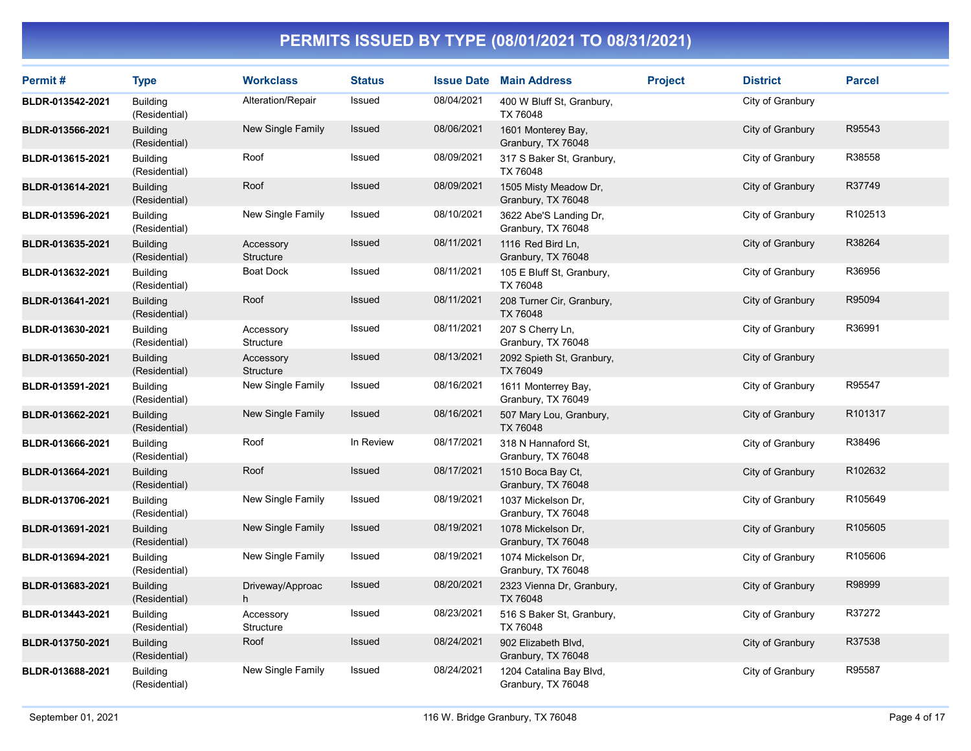| Permit#          | <b>Type</b>                      | <b>Workclass</b>       | <b>Status</b> |            | <b>Issue Date Main Address</b>                | <b>Project</b> | <b>District</b>  | <b>Parcel</b> |
|------------------|----------------------------------|------------------------|---------------|------------|-----------------------------------------------|----------------|------------------|---------------|
| BLDR-013542-2021 | <b>Building</b><br>(Residential) | Alteration/Repair      | Issued        | 08/04/2021 | 400 W Bluff St, Granbury,<br>TX 76048         |                | City of Granbury |               |
| BLDR-013566-2021 | <b>Building</b><br>(Residential) | New Single Family      | Issued        | 08/06/2021 | 1601 Monterey Bay,<br>Granbury, TX 76048      |                | City of Granbury | R95543        |
| BLDR-013615-2021 | <b>Building</b><br>(Residential) | Roof                   | Issued        | 08/09/2021 | 317 S Baker St, Granbury,<br>TX 76048         |                | City of Granbury | R38558        |
| BLDR-013614-2021 | <b>Building</b><br>(Residential) | Roof                   | <b>Issued</b> | 08/09/2021 | 1505 Misty Meadow Dr,<br>Granbury, TX 76048   |                | City of Granbury | R37749        |
| BLDR-013596-2021 | <b>Building</b><br>(Residential) | New Single Family      | Issued        | 08/10/2021 | 3622 Abe'S Landing Dr,<br>Granbury, TX 76048  |                | City of Granbury | R102513       |
| BLDR-013635-2021 | <b>Building</b><br>(Residential) | Accessory<br>Structure | Issued        | 08/11/2021 | 1116 Red Bird Ln,<br>Granbury, TX 76048       |                | City of Granbury | R38264        |
| BLDR-013632-2021 | <b>Building</b><br>(Residential) | <b>Boat Dock</b>       | Issued        | 08/11/2021 | 105 E Bluff St, Granbury,<br>TX 76048         |                | City of Granbury | R36956        |
| BLDR-013641-2021 | <b>Building</b><br>(Residential) | Roof                   | <b>Issued</b> | 08/11/2021 | 208 Turner Cir, Granbury,<br>TX 76048         |                | City of Granbury | R95094        |
| BLDR-013630-2021 | <b>Building</b><br>(Residential) | Accessory<br>Structure | Issued        | 08/11/2021 | 207 S Cherry Ln,<br>Granbury, TX 76048        |                | City of Granbury | R36991        |
| BLDR-013650-2021 | <b>Building</b><br>(Residential) | Accessory<br>Structure | Issued        | 08/13/2021 | 2092 Spieth St, Granbury,<br>TX 76049         |                | City of Granbury |               |
| BLDR-013591-2021 | <b>Building</b><br>(Residential) | New Single Family      | Issued        | 08/16/2021 | 1611 Monterrey Bay,<br>Granbury, TX 76049     |                | City of Granbury | R95547        |
| BLDR-013662-2021 | <b>Building</b><br>(Residential) | New Single Family      | Issued        | 08/16/2021 | 507 Mary Lou, Granbury,<br>TX 76048           |                | City of Granbury | R101317       |
| BLDR-013666-2021 | <b>Building</b><br>(Residential) | Roof                   | In Review     | 08/17/2021 | 318 N Hannaford St,<br>Granbury, TX 76048     |                | City of Granbury | R38496        |
| BLDR-013664-2021 | <b>Building</b><br>(Residential) | Roof                   | Issued        | 08/17/2021 | 1510 Boca Bay Ct,<br>Granbury, TX 76048       |                | City of Granbury | R102632       |
| BLDR-013706-2021 | <b>Building</b><br>(Residential) | New Single Family      | Issued        | 08/19/2021 | 1037 Mickelson Dr.<br>Granbury, TX 76048      |                | City of Granbury | R105649       |
| BLDR-013691-2021 | <b>Building</b><br>(Residential) | New Single Family      | <b>Issued</b> | 08/19/2021 | 1078 Mickelson Dr,<br>Granbury, TX 76048      |                | City of Granbury | R105605       |
| BLDR-013694-2021 | <b>Building</b><br>(Residential) | New Single Family      | Issued        | 08/19/2021 | 1074 Mickelson Dr.<br>Granbury, TX 76048      |                | City of Granbury | R105606       |
| BLDR-013683-2021 | <b>Building</b><br>(Residential) | Driveway/Approac<br>h  | Issued        | 08/20/2021 | 2323 Vienna Dr, Granbury,<br>TX 76048         |                | City of Granbury | R98999        |
| BLDR-013443-2021 | <b>Building</b><br>(Residential) | Accessory<br>Structure | Issued        | 08/23/2021 | 516 S Baker St, Granbury,<br>TX 76048         |                | City of Granbury | R37272        |
| BLDR-013750-2021 | <b>Building</b><br>(Residential) | Roof                   | Issued        | 08/24/2021 | 902 Elizabeth Blvd,<br>Granbury, TX 76048     |                | City of Granbury | R37538        |
| BLDR-013688-2021 | <b>Building</b><br>(Residential) | New Single Family      | Issued        | 08/24/2021 | 1204 Catalina Bay Blvd,<br>Granbury, TX 76048 |                | City of Granbury | R95587        |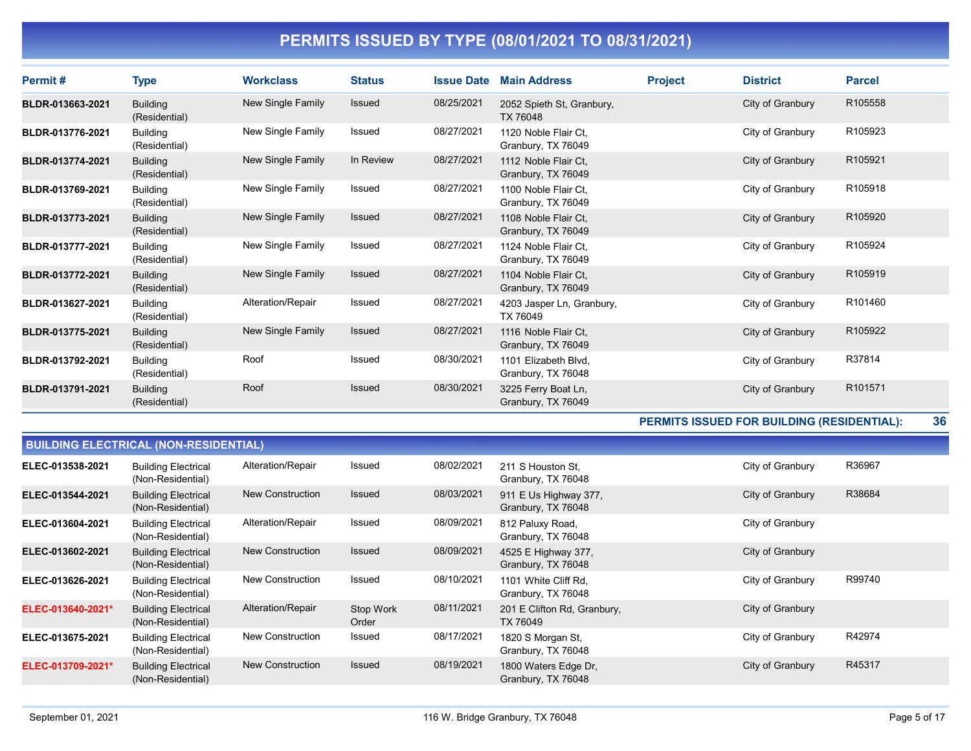| Permit#          | <b>Type</b>                      | <b>Workclass</b>  | <b>Status</b> | <b>Issue Date</b> | <b>Main Address</b>                        | <b>Project</b> | <b>District</b>  | <b>Parcel</b>       |
|------------------|----------------------------------|-------------------|---------------|-------------------|--------------------------------------------|----------------|------------------|---------------------|
| BLDR-013663-2021 | <b>Building</b><br>(Residential) | New Single Family | <b>Issued</b> | 08/25/2021        | 2052 Spieth St, Granbury,<br>TX 76048      |                | City of Granbury | R <sub>105558</sub> |
| BLDR-013776-2021 | Building<br>(Residential)        | New Single Family | <b>Issued</b> | 08/27/2021        | 1120 Noble Flair Ct.<br>Granbury, TX 76049 |                | City of Granbury | R105923             |
| BLDR-013774-2021 | <b>Building</b><br>(Residential) | New Single Family | In Review     | 08/27/2021        | 1112 Noble Flair Ct.<br>Granbury, TX 76049 |                | City of Granbury | R105921             |
| BLDR-013769-2021 | Building<br>(Residential)        | New Single Family | Issued        | 08/27/2021        | 1100 Noble Flair Ct.<br>Granbury, TX 76049 |                | City of Granbury | R105918             |
| BLDR-013773-2021 | <b>Building</b><br>(Residential) | New Single Family | <b>Issued</b> | 08/27/2021        | 1108 Noble Flair Ct.<br>Granbury, TX 76049 |                | City of Granbury | R105920             |
| BLDR-013777-2021 | <b>Building</b><br>(Residential) | New Single Family | <b>Issued</b> | 08/27/2021        | 1124 Noble Flair Ct.<br>Granbury, TX 76049 |                | City of Granbury | R105924             |
| BLDR-013772-2021 | <b>Building</b><br>(Residential) | New Single Family | <b>Issued</b> | 08/27/2021        | 1104 Noble Flair Ct.<br>Granbury, TX 76049 |                | City of Granbury | R105919             |
| BLDR-013627-2021 | <b>Building</b><br>(Residential) | Alteration/Repair | <b>Issued</b> | 08/27/2021        | 4203 Jasper Ln, Granbury,<br>TX 76049      |                | City of Granbury | R101460             |
| BLDR-013775-2021 | <b>Building</b><br>(Residential) | New Single Family | <b>Issued</b> | 08/27/2021        | 1116 Noble Flair Ct,<br>Granbury, TX 76049 |                | City of Granbury | R105922             |
| BLDR-013792-2021 | <b>Building</b><br>(Residential) | Roof              | Issued        | 08/30/2021        | 1101 Elizabeth Blvd,<br>Granbury, TX 76048 |                | City of Granbury | R37814              |
| BLDR-013791-2021 | <b>Building</b><br>(Residential) | Roof              | <b>Issued</b> | 08/30/2021        | 3225 Ferry Boat Ln,<br>Granbury, TX 76049  |                | City of Granbury | R101571             |

PERMITS ISSUED FOR BUILDING (RESIDENTIAL): 36

| <b>BUILDING ELECTRICAL (NON-RESIDENTIAL)</b> |                                                 |                         |                    |            |                                             |                  |        |  |  |  |
|----------------------------------------------|-------------------------------------------------|-------------------------|--------------------|------------|---------------------------------------------|------------------|--------|--|--|--|
| ELEC-013538-2021                             | <b>Building Electrical</b><br>(Non-Residential) | Alteration/Repair       | Issued             | 08/02/2021 | 211 S Houston St,<br>Granbury, TX 76048     | City of Granbury | R36967 |  |  |  |
| ELEC-013544-2021                             | <b>Building Electrical</b><br>(Non-Residential) | New Construction        | <b>Issued</b>      | 08/03/2021 | 911 E Us Highway 377,<br>Granbury, TX 76048 | City of Granbury | R38684 |  |  |  |
| ELEC-013604-2021                             | <b>Building Electrical</b><br>(Non-Residential) | Alteration/Repair       | Issued             | 08/09/2021 | 812 Paluxy Road,<br>Granbury, TX 76048      | City of Granbury |        |  |  |  |
| ELEC-013602-2021                             | <b>Building Electrical</b><br>(Non-Residential) | <b>New Construction</b> | <b>Issued</b>      | 08/09/2021 | 4525 E Highway 377,<br>Granbury, TX 76048   | City of Granbury |        |  |  |  |
| ELEC-013626-2021                             | <b>Building Electrical</b><br>(Non-Residential) | <b>New Construction</b> | Issued             | 08/10/2021 | 1101 White Cliff Rd,<br>Granbury, TX 76048  | City of Granbury | R99740 |  |  |  |
| ELEC-013640-2021*                            | <b>Building Electrical</b><br>(Non-Residential) | Alteration/Repair       | Stop Work<br>Order | 08/11/2021 | 201 E Clifton Rd, Granbury,<br>TX 76049     | City of Granbury |        |  |  |  |
| ELEC-013675-2021                             | <b>Building Electrical</b><br>(Non-Residential) | <b>New Construction</b> | Issued             | 08/17/2021 | 1820 S Morgan St,<br>Granbury, TX 76048     | City of Granbury | R42974 |  |  |  |
| ELEC-013709-2021*                            | <b>Building Electrical</b><br>(Non-Residential) | <b>New Construction</b> | <b>Issued</b>      | 08/19/2021 | 1800 Waters Edge Dr,<br>Granbury, TX 76048  | City of Granbury | R45317 |  |  |  |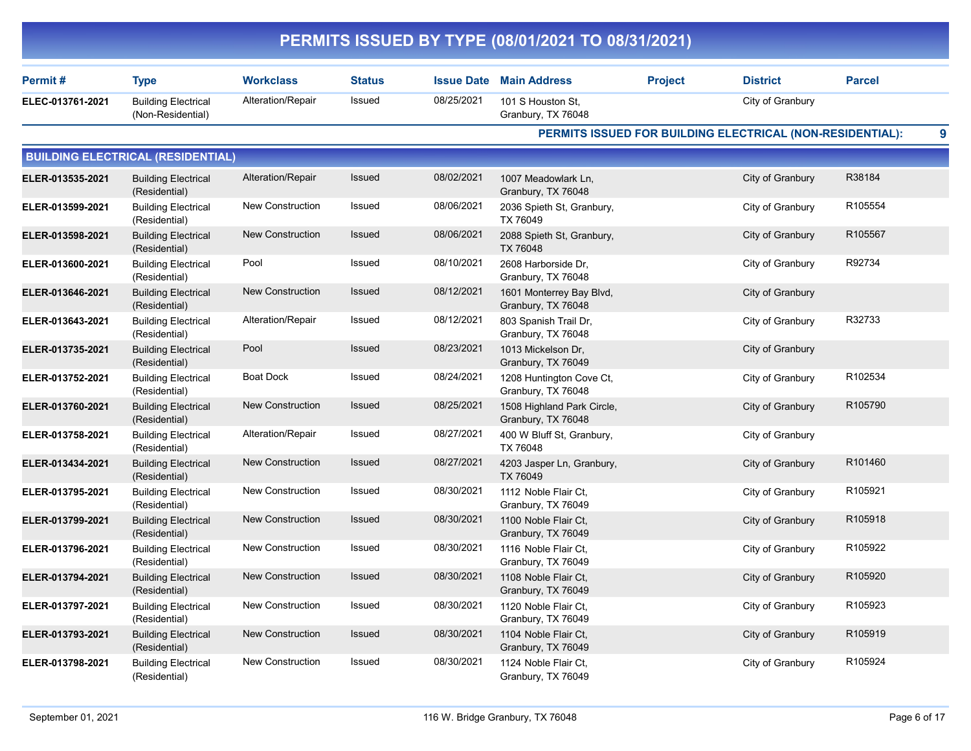|                  |                                                 |                         |               |                   | PERMITS ISSUED BY TYPE (08/01/2021 TO 08/31/2021) |                |                                                           |                     |   |
|------------------|-------------------------------------------------|-------------------------|---------------|-------------------|---------------------------------------------------|----------------|-----------------------------------------------------------|---------------------|---|
| Permit#          | <b>Type</b>                                     | <b>Workclass</b>        | <b>Status</b> | <b>Issue Date</b> | <b>Main Address</b>                               | <b>Project</b> | <b>District</b>                                           | <b>Parcel</b>       |   |
| ELEC-013761-2021 | <b>Building Electrical</b><br>(Non-Residential) | Alteration/Repair       | Issued        | 08/25/2021        | 101 S Houston St,<br>Granbury, TX 76048           |                | City of Granbury                                          |                     |   |
|                  |                                                 |                         |               |                   |                                                   |                | PERMITS ISSUED FOR BUILDING ELECTRICAL (NON-RESIDENTIAL): |                     | 9 |
|                  | <b>BUILDING ELECTRICAL (RESIDENTIAL)</b>        |                         |               |                   |                                                   |                |                                                           |                     |   |
| ELER-013535-2021 | <b>Building Electrical</b><br>(Residential)     | Alteration/Repair       | Issued        | 08/02/2021        | 1007 Meadowlark Ln,<br>Granbury, TX 76048         |                | City of Granbury                                          | R38184              |   |
| ELER-013599-2021 | <b>Building Electrical</b><br>(Residential)     | New Construction        | Issued        | 08/06/2021        | 2036 Spieth St, Granbury,<br>TX 76049             |                | City of Granbury                                          | R105554             |   |
| ELER-013598-2021 | <b>Building Electrical</b><br>(Residential)     | <b>New Construction</b> | Issued        | 08/06/2021        | 2088 Spieth St, Granbury,<br><b>TX 76048</b>      |                | City of Granbury                                          | R105567             |   |
| ELER-013600-2021 | <b>Building Electrical</b><br>(Residential)     | Pool                    | Issued        | 08/10/2021        | 2608 Harborside Dr,<br>Granbury, TX 76048         |                | City of Granbury                                          | R92734              |   |
| ELER-013646-2021 | <b>Building Electrical</b><br>(Residential)     | <b>New Construction</b> | Issued        | 08/12/2021        | 1601 Monterrey Bay Blvd,<br>Granbury, TX 76048    |                | City of Granbury                                          |                     |   |
| ELER-013643-2021 | <b>Building Electrical</b><br>(Residential)     | Alteration/Repair       | Issued        | 08/12/2021        | 803 Spanish Trail Dr,<br>Granbury, TX 76048       |                | City of Granbury                                          | R32733              |   |
| ELER-013735-2021 | <b>Building Electrical</b><br>(Residential)     | Pool                    | Issued        | 08/23/2021        | 1013 Mickelson Dr,<br>Granbury, TX 76049          |                | City of Granbury                                          |                     |   |
| ELER-013752-2021 | <b>Building Electrical</b><br>(Residential)     | <b>Boat Dock</b>        | Issued        | 08/24/2021        | 1208 Huntington Cove Ct,<br>Granbury, TX 76048    |                | City of Granbury                                          | R102534             |   |
| ELER-013760-2021 | <b>Building Electrical</b><br>(Residential)     | New Construction        | Issued        | 08/25/2021        | 1508 Highland Park Circle,<br>Granbury, TX 76048  |                | City of Granbury                                          | R105790             |   |
| ELER-013758-2021 | <b>Building Electrical</b><br>(Residential)     | Alteration/Repair       | Issued        | 08/27/2021        | 400 W Bluff St, Granbury,<br>TX 76048             |                | City of Granbury                                          |                     |   |
| ELER-013434-2021 | <b>Building Electrical</b><br>(Residential)     | <b>New Construction</b> | Issued        | 08/27/2021        | 4203 Jasper Ln, Granbury,<br>TX 76049             |                | City of Granbury                                          | R <sub>101460</sub> |   |
| ELER-013795-2021 | <b>Building Electrical</b><br>(Residential)     | New Construction        | Issued        | 08/30/2021        | 1112 Noble Flair Ct,<br>Granbury, TX 76049        |                | City of Granbury                                          | R105921             |   |
| ELER-013799-2021 | <b>Building Electrical</b><br>(Residential)     | <b>New Construction</b> | Issued        | 08/30/2021        | 1100 Noble Flair Ct,<br>Granbury, TX 76049        |                | City of Granbury                                          | R105918             |   |
| ELER-013796-2021 | <b>Building Electrical</b><br>(Residential)     | New Construction        | Issued        | 08/30/2021        | 1116 Noble Flair Ct,<br>Granbury, TX 76049        |                | City of Granbury                                          | R105922             |   |
| ELER-013794-2021 | <b>Building Electrical</b><br>(Residential)     | <b>New Construction</b> | Issued        | 08/30/2021        | 1108 Noble Flair Ct,<br>Granbury, TX 76049        |                | City of Granbury                                          | R105920             |   |
| ELER-013797-2021 | <b>Building Electrical</b><br>(Residential)     | New Construction        | Issued        | 08/30/2021        | 1120 Noble Flair Ct,<br>Granbury, TX 76049        |                | City of Granbury                                          | R105923             |   |
| ELER-013793-2021 | <b>Building Electrical</b><br>(Residential)     | New Construction        | Issued        | 08/30/2021        | 1104 Noble Flair Ct,<br>Granbury, TX 76049        |                | City of Granbury                                          | R105919             |   |
| ELER-013798-2021 | <b>Building Electrical</b><br>(Residential)     | New Construction        | Issued        | 08/30/2021        | 1124 Noble Flair Ct,<br>Granbury, TX 76049        |                | City of Granbury                                          | R105924             |   |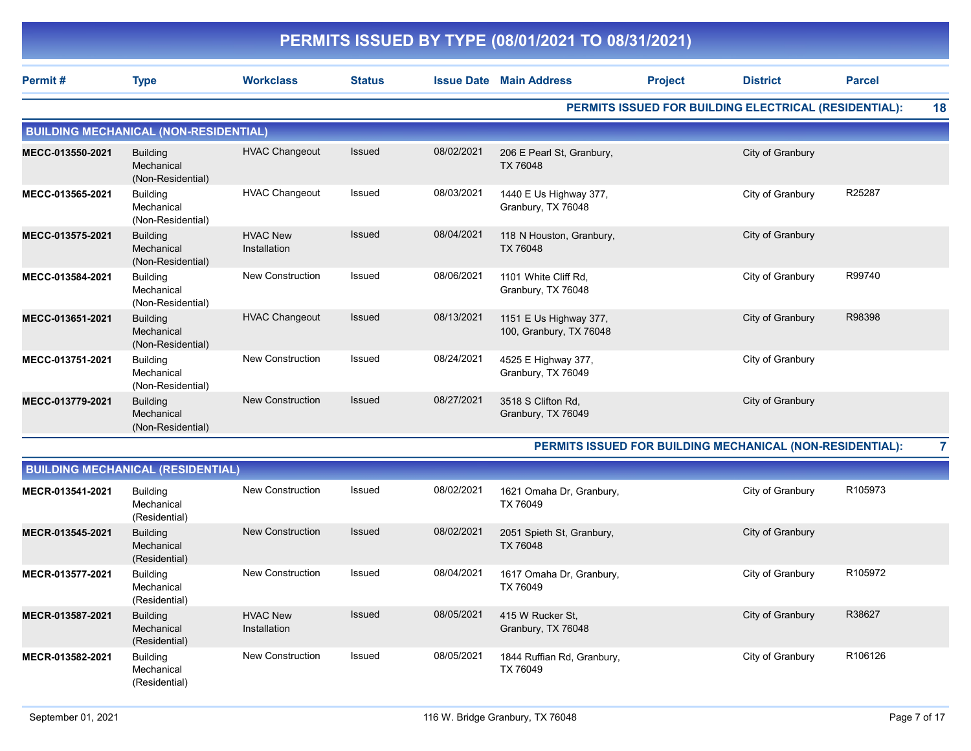|                  |                                                    |                                 |               |                   | PERMITS ISSUED BY TYPE (08/01/2021 TO 08/31/2021) |                |                                                       |               |    |
|------------------|----------------------------------------------------|---------------------------------|---------------|-------------------|---------------------------------------------------|----------------|-------------------------------------------------------|---------------|----|
| Permit#          | <b>Type</b>                                        | <b>Workclass</b>                | <b>Status</b> | <b>Issue Date</b> | <b>Main Address</b>                               | <b>Project</b> | <b>District</b>                                       | <b>Parcel</b> |    |
|                  |                                                    |                                 |               |                   |                                                   |                | PERMITS ISSUED FOR BUILDING ELECTRICAL (RESIDENTIAL): |               | 18 |
|                  | <b>BUILDING MECHANICAL (NON-RESIDENTIAL)</b>       |                                 |               |                   |                                                   |                |                                                       |               |    |
| MECC-013550-2021 | <b>Building</b><br>Mechanical<br>(Non-Residential) | <b>HVAC Changeout</b>           | <b>Issued</b> | 08/02/2021        | 206 E Pearl St, Granbury,<br>TX 76048             |                | City of Granbury                                      |               |    |
| MECC-013565-2021 | <b>Building</b><br>Mechanical<br>(Non-Residential) | <b>HVAC Changeout</b>           | Issued        | 08/03/2021        | 1440 E Us Highway 377,<br>Granbury, TX 76048      |                | City of Granbury                                      | R25287        |    |
| MECC-013575-2021 | <b>Building</b><br>Mechanical<br>(Non-Residential) | <b>HVAC New</b><br>Installation | <b>Issued</b> | 08/04/2021        | 118 N Houston, Granbury,<br>TX 76048              |                | City of Granbury                                      |               |    |
| MECC-013584-2021 | <b>Building</b><br>Mechanical<br>(Non-Residential) | <b>New Construction</b>         | <b>Issued</b> | 08/06/2021        | 1101 White Cliff Rd.<br>Granbury, TX 76048        |                | City of Granbury                                      | R99740        |    |
| MECC-013651-2021 | <b>Building</b><br>Mechanical<br>(Non-Residential) | <b>HVAC Changeout</b>           | <b>Issued</b> | 08/13/2021        | 1151 E Us Highway 377,<br>100, Granbury, TX 76048 |                | City of Granbury                                      | R98398        |    |
| MECC-013751-2021 | <b>Building</b><br>Mechanical<br>(Non-Residential) | <b>New Construction</b>         | <b>Issued</b> | 08/24/2021        | 4525 E Highway 377,<br>Granbury, TX 76049         |                | City of Granbury                                      |               |    |
| MECC-013779-2021 | <b>Building</b><br>Mechanical<br>(Non-Residential) | <b>New Construction</b>         | <b>Issued</b> | 08/27/2021        | 3518 S Clifton Rd.<br>Granbury, TX 76049          |                | City of Granbury                                      |               |    |

PERMITS ISSUED FOR BUILDING MECHANICAL (NON-RESIDENTIAL): 7

| <b>BUILDING MECHANICAL (RESIDENTIAL)</b> |                                                |                                 |               |            |                                        |                  |                     |  |  |  |
|------------------------------------------|------------------------------------------------|---------------------------------|---------------|------------|----------------------------------------|------------------|---------------------|--|--|--|
| MECR-013541-2021                         | <b>Building</b><br>Mechanical<br>(Residential) | New Construction                | Issued        | 08/02/2021 | 1621 Omaha Dr, Granbury,<br>TX 76049   | City of Granbury | R <sub>105973</sub> |  |  |  |
| MECR-013545-2021                         | <b>Building</b><br>Mechanical<br>(Residential) | New Construction                | <b>Issued</b> | 08/02/2021 | 2051 Spieth St, Granbury,<br>TX 76048  | City of Granbury |                     |  |  |  |
| MECR-013577-2021                         | Building<br>Mechanical<br>(Residential)        | <b>New Construction</b>         | Issued        | 08/04/2021 | 1617 Omaha Dr, Granbury,<br>TX 76049   | City of Granbury | R105972             |  |  |  |
| MECR-013587-2021                         | <b>Building</b><br>Mechanical<br>(Residential) | <b>HVAC New</b><br>Installation | <b>Issued</b> | 08/05/2021 | 415 W Rucker St.<br>Granbury, TX 76048 | City of Granbury | R38627              |  |  |  |
| MECR-013582-2021                         | <b>Building</b><br>Mechanical<br>(Residential) | New Construction                | Issued        | 08/05/2021 | 1844 Ruffian Rd, Granbury,<br>TX 76049 | City of Granbury | R106126             |  |  |  |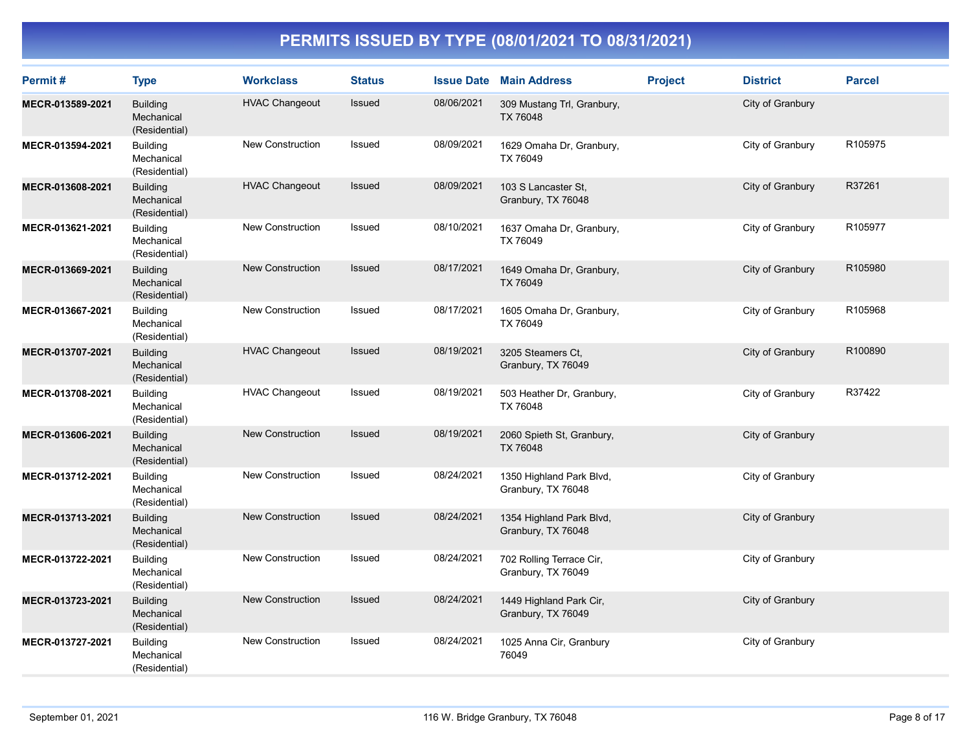| Permit#          | <b>Type</b>                                    | <b>Workclass</b>        | <b>Status</b> |            | <b>Issue Date Main Address</b>                 | <b>Project</b> | <b>District</b>  | <b>Parcel</b> |
|------------------|------------------------------------------------|-------------------------|---------------|------------|------------------------------------------------|----------------|------------------|---------------|
| MECR-013589-2021 | <b>Building</b><br>Mechanical<br>(Residential) | <b>HVAC Changeout</b>   | Issued        | 08/06/2021 | 309 Mustang Trl, Granbury,<br>TX 76048         |                | City of Granbury |               |
| MECR-013594-2021 | <b>Building</b><br>Mechanical<br>(Residential) | New Construction        | Issued        | 08/09/2021 | 1629 Omaha Dr, Granbury,<br>TX 76049           |                | City of Granbury | R105975       |
| MECR-013608-2021 | <b>Building</b><br>Mechanical<br>(Residential) | <b>HVAC Changeout</b>   | Issued        | 08/09/2021 | 103 S Lancaster St.<br>Granbury, TX 76048      |                | City of Granbury | R37261        |
| MECR-013621-2021 | <b>Building</b><br>Mechanical<br>(Residential) | <b>New Construction</b> | Issued        | 08/10/2021 | 1637 Omaha Dr, Granbury,<br>TX 76049           |                | City of Granbury | R105977       |
| MECR-013669-2021 | <b>Building</b><br>Mechanical<br>(Residential) | <b>New Construction</b> | Issued        | 08/17/2021 | 1649 Omaha Dr, Granbury,<br>TX 76049           |                | City of Granbury | R105980       |
| MECR-013667-2021 | <b>Building</b><br>Mechanical<br>(Residential) | <b>New Construction</b> | Issued        | 08/17/2021 | 1605 Omaha Dr, Granbury,<br>TX 76049           |                | City of Granbury | R105968       |
| MECR-013707-2021 | <b>Building</b><br>Mechanical<br>(Residential) | <b>HVAC Changeout</b>   | <b>Issued</b> | 08/19/2021 | 3205 Steamers Ct,<br>Granbury, TX 76049        |                | City of Granbury | R100890       |
| MECR-013708-2021 | <b>Building</b><br>Mechanical<br>(Residential) | <b>HVAC Changeout</b>   | Issued        | 08/19/2021 | 503 Heather Dr, Granbury,<br>TX 76048          |                | City of Granbury | R37422        |
| MECR-013606-2021 | <b>Building</b><br>Mechanical<br>(Residential) | <b>New Construction</b> | Issued        | 08/19/2021 | 2060 Spieth St, Granbury,<br>TX 76048          |                | City of Granbury |               |
| MECR-013712-2021 | <b>Building</b><br>Mechanical<br>(Residential) | <b>New Construction</b> | Issued        | 08/24/2021 | 1350 Highland Park Blvd,<br>Granbury, TX 76048 |                | City of Granbury |               |
| MECR-013713-2021 | <b>Building</b><br>Mechanical<br>(Residential) | <b>New Construction</b> | Issued        | 08/24/2021 | 1354 Highland Park Blvd,<br>Granbury, TX 76048 |                | City of Granbury |               |
| MECR-013722-2021 | <b>Building</b><br>Mechanical<br>(Residential) | <b>New Construction</b> | Issued        | 08/24/2021 | 702 Rolling Terrace Cir,<br>Granbury, TX 76049 |                | City of Granbury |               |
| MECR-013723-2021 | <b>Building</b><br>Mechanical<br>(Residential) | <b>New Construction</b> | Issued        | 08/24/2021 | 1449 Highland Park Cir,<br>Granbury, TX 76049  |                | City of Granbury |               |
| MECR-013727-2021 | <b>Building</b><br>Mechanical<br>(Residential) | New Construction        | Issued        | 08/24/2021 | 1025 Anna Cir, Granbury<br>76049               |                | City of Granbury |               |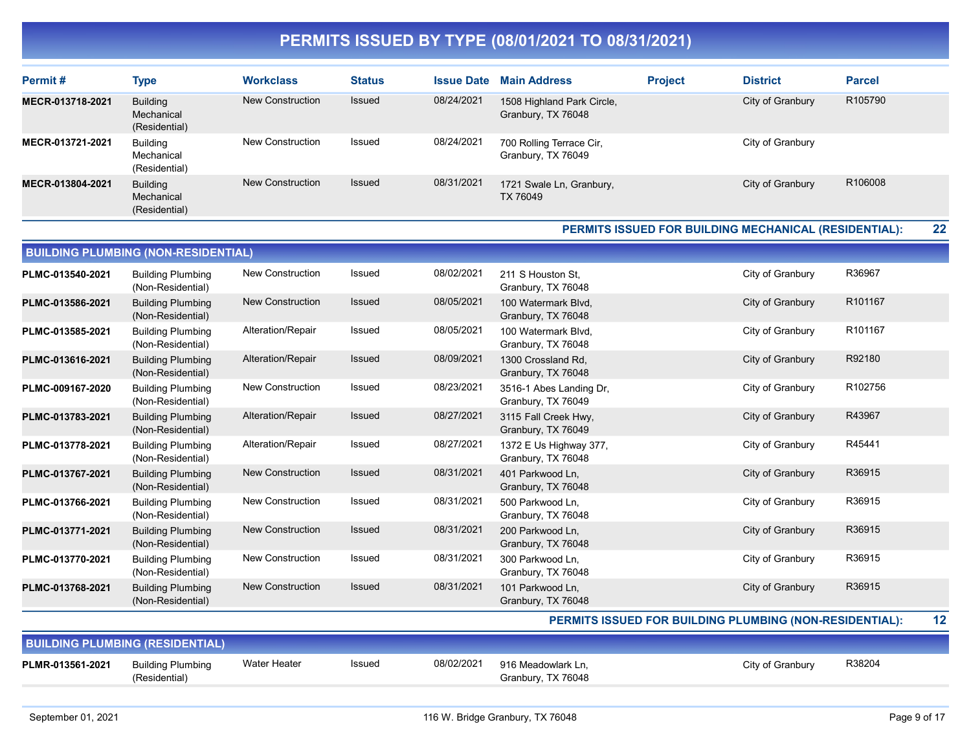| Permit#          | <b>Type</b>                                    | <b>Workclass</b>        | <b>Status</b> | <b>Issue Date</b> | <b>Main Address</b>                              | <b>Project</b> | <b>District</b>  | <b>Parcel</b> |
|------------------|------------------------------------------------|-------------------------|---------------|-------------------|--------------------------------------------------|----------------|------------------|---------------|
| MECR-013718-2021 | <b>Building</b><br>Mechanical<br>(Residential) | New Construction        | <b>Issued</b> | 08/24/2021        | 1508 Highland Park Circle,<br>Granbury, TX 76048 |                | City of Granbury | R105790       |
| MECR-013721-2021 | <b>Building</b><br>Mechanical<br>(Residential) | <b>New Construction</b> | Issued        | 08/24/2021        | 700 Rolling Terrace Cir,<br>Granbury, TX 76049   |                | City of Granbury |               |
| MECR-013804-2021 | <b>Building</b><br>Mechanical<br>(Residential) | New Construction        | <b>Issued</b> | 08/31/2021        | 1721 Swale Ln, Granbury,<br>TX 76049             |                | City of Granbury | R106008       |

#### PERMITS ISSUED FOR BUILDING MECHANICAL (RESIDENTIAL): 22

|                  | <b>BUILDING PLUMBING (NON-RESIDENTIAL)</b>    |                         |               |            |                                               |                  |         |  |  |  |  |
|------------------|-----------------------------------------------|-------------------------|---------------|------------|-----------------------------------------------|------------------|---------|--|--|--|--|
| PLMC-013540-2021 | <b>Building Plumbing</b><br>(Non-Residential) | <b>New Construction</b> | <b>Issued</b> | 08/02/2021 | 211 S Houston St,<br>Granbury, TX 76048       | City of Granbury | R36967  |  |  |  |  |
| PLMC-013586-2021 | <b>Building Plumbing</b><br>(Non-Residential) | <b>New Construction</b> | Issued        | 08/05/2021 | 100 Watermark Blvd.<br>Granbury, TX 76048     | City of Granbury | R101167 |  |  |  |  |
| PLMC-013585-2021 | <b>Building Plumbing</b><br>(Non-Residential) | Alteration/Repair       | Issued        | 08/05/2021 | 100 Watermark Blvd.<br>Granbury, TX 76048     | City of Granbury | R101167 |  |  |  |  |
| PLMC-013616-2021 | <b>Building Plumbing</b><br>(Non-Residential) | Alteration/Repair       | Issued        | 08/09/2021 | 1300 Crossland Rd,<br>Granbury, TX 76048      | City of Granbury | R92180  |  |  |  |  |
| PLMC-009167-2020 | <b>Building Plumbing</b><br>(Non-Residential) | <b>New Construction</b> | Issued        | 08/23/2021 | 3516-1 Abes Landing Dr,<br>Granbury, TX 76049 | City of Granbury | R102756 |  |  |  |  |
| PLMC-013783-2021 | <b>Building Plumbing</b><br>(Non-Residential) | Alteration/Repair       | Issued        | 08/27/2021 | 3115 Fall Creek Hwy,<br>Granbury, TX 76049    | City of Granbury | R43967  |  |  |  |  |
| PLMC-013778-2021 | <b>Building Plumbing</b><br>(Non-Residential) | Alteration/Repair       | Issued        | 08/27/2021 | 1372 E Us Highway 377,<br>Granbury, TX 76048  | City of Granbury | R45441  |  |  |  |  |
| PLMC-013767-2021 | <b>Building Plumbing</b><br>(Non-Residential) | <b>New Construction</b> | Issued        | 08/31/2021 | 401 Parkwood Ln,<br>Granbury, TX 76048        | City of Granbury | R36915  |  |  |  |  |
| PLMC-013766-2021 | <b>Building Plumbing</b><br>(Non-Residential) | <b>New Construction</b> | Issued        | 08/31/2021 | 500 Parkwood Ln,<br>Granbury, TX 76048        | City of Granbury | R36915  |  |  |  |  |
| PLMC-013771-2021 | <b>Building Plumbing</b><br>(Non-Residential) | <b>New Construction</b> | Issued        | 08/31/2021 | 200 Parkwood Ln,<br>Granbury, TX 76048        | City of Granbury | R36915  |  |  |  |  |
| PLMC-013770-2021 | <b>Building Plumbing</b><br>(Non-Residential) | <b>New Construction</b> | Issued        | 08/31/2021 | 300 Parkwood Ln.<br>Granbury, TX 76048        | City of Granbury | R36915  |  |  |  |  |
| PLMC-013768-2021 | <b>Building Plumbing</b><br>(Non-Residential) | <b>New Construction</b> | <b>Issued</b> | 08/31/2021 | 101 Parkwood Ln,<br>Granbury, TX 76048        | City of Granbury | R36915  |  |  |  |  |
|                  |                                               |                         |               |            |                                               |                  |         |  |  |  |  |

#### PERMITS ISSUED FOR BUILDING PLUMBING (NON-RESIDENTIAL): 12

| <b>BUILDING PLUMBING (RESIDENTIAL)</b> |                                    |              |        |            |                                          |                  |        |  |  |  |
|----------------------------------------|------------------------------------|--------------|--------|------------|------------------------------------------|------------------|--------|--|--|--|
| PLMR-013561-2021                       | Building Plumbing<br>(Residential) | Water Heater | Issued | 08/02/2021 | 916 Meadowlark Ln.<br>Granbury, TX 76048 | City of Granbury | R38204 |  |  |  |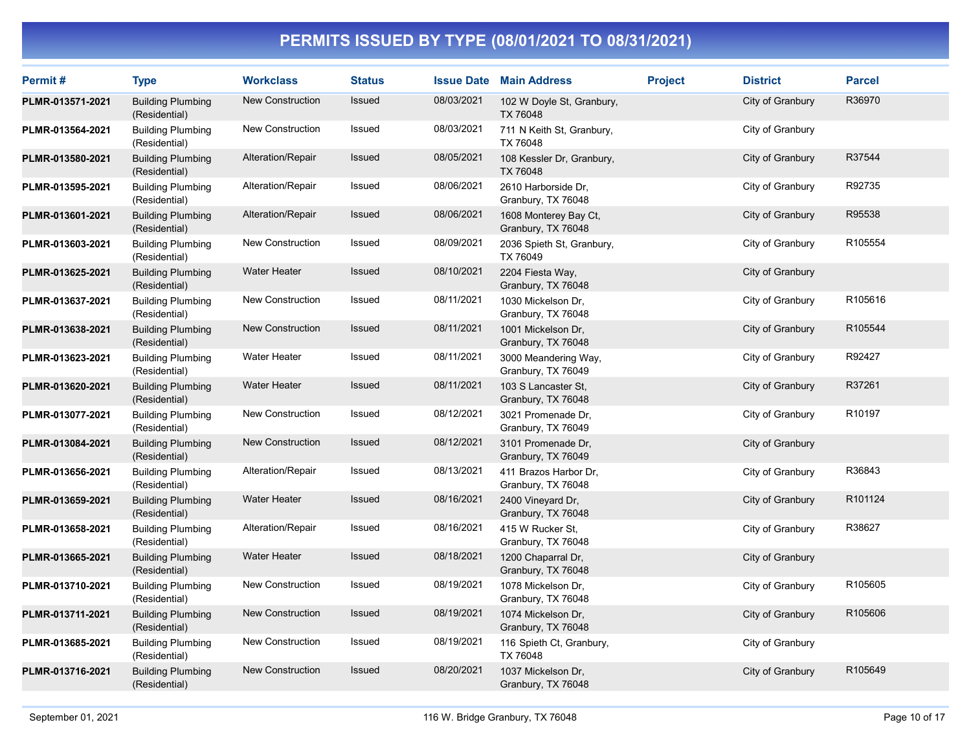| Permit#          | <b>Type</b>                               | <b>Workclass</b>        | <b>Status</b> |            | <b>Issue Date Main Address</b>              | <b>Project</b> | <b>District</b>  | <b>Parcel</b> |
|------------------|-------------------------------------------|-------------------------|---------------|------------|---------------------------------------------|----------------|------------------|---------------|
| PLMR-013571-2021 | <b>Building Plumbing</b><br>(Residential) | <b>New Construction</b> | Issued        | 08/03/2021 | 102 W Doyle St, Granbury,<br>TX 76048       |                | City of Granbury | R36970        |
| PLMR-013564-2021 | <b>Building Plumbing</b><br>(Residential) | <b>New Construction</b> | Issued        | 08/03/2021 | 711 N Keith St, Granbury,<br>TX 76048       |                | City of Granbury |               |
| PLMR-013580-2021 | <b>Building Plumbing</b><br>(Residential) | Alteration/Repair       | Issued        | 08/05/2021 | 108 Kessler Dr, Granbury,<br>TX 76048       |                | City of Granbury | R37544        |
| PLMR-013595-2021 | <b>Building Plumbing</b><br>(Residential) | Alteration/Repair       | Issued        | 08/06/2021 | 2610 Harborside Dr.<br>Granbury, TX 76048   |                | City of Granbury | R92735        |
| PLMR-013601-2021 | <b>Building Plumbing</b><br>(Residential) | Alteration/Repair       | Issued        | 08/06/2021 | 1608 Monterey Bay Ct,<br>Granbury, TX 76048 |                | City of Granbury | R95538        |
| PLMR-013603-2021 | <b>Building Plumbing</b><br>(Residential) | <b>New Construction</b> | Issued        | 08/09/2021 | 2036 Spieth St, Granbury,<br>TX 76049       |                | City of Granbury | R105554       |
| PLMR-013625-2021 | <b>Building Plumbing</b><br>(Residential) | <b>Water Heater</b>     | Issued        | 08/10/2021 | 2204 Fiesta Way,<br>Granbury, TX 76048      |                | City of Granbury |               |
| PLMR-013637-2021 | <b>Building Plumbing</b><br>(Residential) | <b>New Construction</b> | Issued        | 08/11/2021 | 1030 Mickelson Dr,<br>Granbury, TX 76048    |                | City of Granbury | R105616       |
| PLMR-013638-2021 | <b>Building Plumbing</b><br>(Residential) | <b>New Construction</b> | Issued        | 08/11/2021 | 1001 Mickelson Dr.<br>Granbury, TX 76048    |                | City of Granbury | R105544       |
| PLMR-013623-2021 | <b>Building Plumbing</b><br>(Residential) | <b>Water Heater</b>     | Issued        | 08/11/2021 | 3000 Meandering Way,<br>Granbury, TX 76049  |                | City of Granbury | R92427        |
| PLMR-013620-2021 | <b>Building Plumbing</b><br>(Residential) | <b>Water Heater</b>     | Issued        | 08/11/2021 | 103 S Lancaster St,<br>Granbury, TX 76048   |                | City of Granbury | R37261        |
| PLMR-013077-2021 | <b>Building Plumbing</b><br>(Residential) | <b>New Construction</b> | Issued        | 08/12/2021 | 3021 Promenade Dr.<br>Granbury, TX 76049    |                | City of Granbury | R10197        |
| PLMR-013084-2021 | <b>Building Plumbing</b><br>(Residential) | <b>New Construction</b> | Issued        | 08/12/2021 | 3101 Promenade Dr,<br>Granbury, TX 76049    |                | City of Granbury |               |
| PLMR-013656-2021 | <b>Building Plumbing</b><br>(Residential) | Alteration/Repair       | Issued        | 08/13/2021 | 411 Brazos Harbor Dr,<br>Granbury, TX 76048 |                | City of Granbury | R36843        |
| PLMR-013659-2021 | <b>Building Plumbing</b><br>(Residential) | <b>Water Heater</b>     | Issued        | 08/16/2021 | 2400 Vineyard Dr.<br>Granbury, TX 76048     |                | City of Granbury | R101124       |
| PLMR-013658-2021 | <b>Building Plumbing</b><br>(Residential) | Alteration/Repair       | Issued        | 08/16/2021 | 415 W Rucker St,<br>Granbury, TX 76048      |                | City of Granbury | R38627        |
| PLMR-013665-2021 | <b>Building Plumbing</b><br>(Residential) | <b>Water Heater</b>     | Issued        | 08/18/2021 | 1200 Chaparral Dr,<br>Granbury, TX 76048    |                | City of Granbury |               |
| PLMR-013710-2021 | <b>Building Plumbing</b><br>(Residential) | <b>New Construction</b> | Issued        | 08/19/2021 | 1078 Mickelson Dr.<br>Granbury, TX 76048    |                | City of Granbury | R105605       |
| PLMR-013711-2021 | <b>Building Plumbing</b><br>(Residential) | <b>New Construction</b> | Issued        | 08/19/2021 | 1074 Mickelson Dr.<br>Granbury, TX 76048    |                | City of Granbury | R105606       |
| PLMR-013685-2021 | <b>Building Plumbing</b><br>(Residential) | <b>New Construction</b> | Issued        | 08/19/2021 | 116 Spieth Ct, Granbury,<br>TX 76048        |                | City of Granbury |               |
| PLMR-013716-2021 | <b>Building Plumbing</b><br>(Residential) | <b>New Construction</b> | Issued        | 08/20/2021 | 1037 Mickelson Dr,<br>Granbury, TX 76048    |                | City of Granbury | R105649       |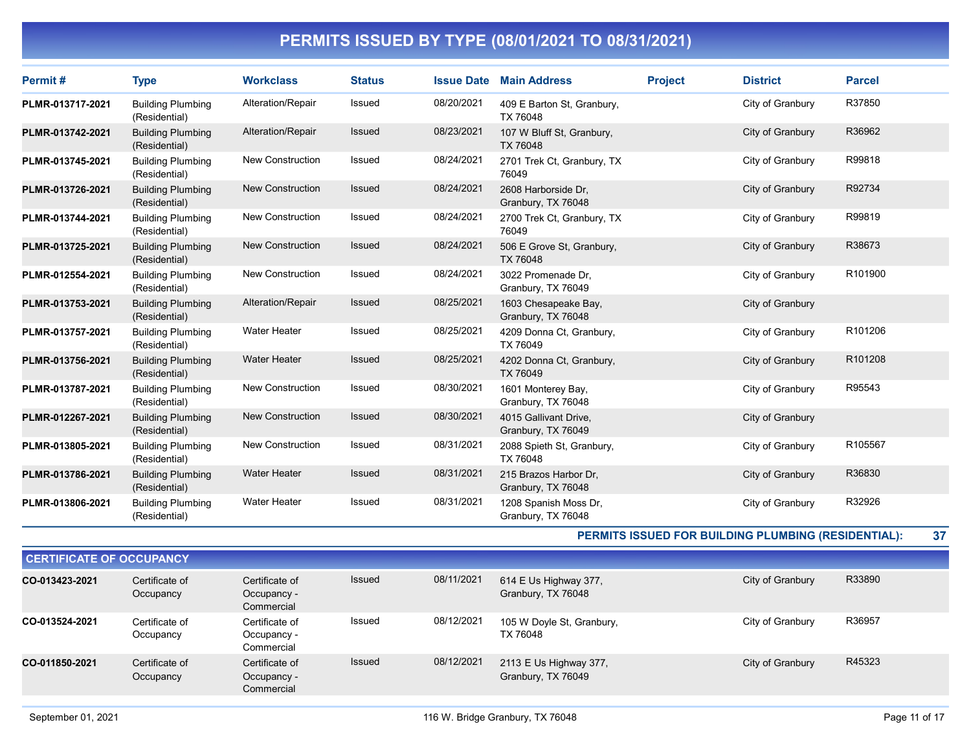| Permit#          | <b>Type</b>                               | <b>Workclass</b>        | <b>Status</b> | <b>Issue Date</b> | <b>Main Address</b>                         | <b>Project</b> | <b>District</b>  | <b>Parcel</b> |
|------------------|-------------------------------------------|-------------------------|---------------|-------------------|---------------------------------------------|----------------|------------------|---------------|
| PLMR-013717-2021 | <b>Building Plumbing</b><br>(Residential) | Alteration/Repair       | Issued        | 08/20/2021        | 409 E Barton St, Granbury,<br>TX 76048      |                | City of Granbury | R37850        |
| PLMR-013742-2021 | <b>Building Plumbing</b><br>(Residential) | Alteration/Repair       | <b>Issued</b> | 08/23/2021        | 107 W Bluff St, Granbury,<br>TX 76048       |                | City of Granbury | R36962        |
| PLMR-013745-2021 | <b>Building Plumbing</b><br>(Residential) | <b>New Construction</b> | Issued        | 08/24/2021        | 2701 Trek Ct, Granbury, TX<br>76049         |                | City of Granbury | R99818        |
| PLMR-013726-2021 | <b>Building Plumbing</b><br>(Residential) | <b>New Construction</b> | <b>Issued</b> | 08/24/2021        | 2608 Harborside Dr.<br>Granbury, TX 76048   |                | City of Granbury | R92734        |
| PLMR-013744-2021 | <b>Building Plumbing</b><br>(Residential) | <b>New Construction</b> | <b>Issued</b> | 08/24/2021        | 2700 Trek Ct, Granbury, TX<br>76049         |                | City of Granbury | R99819        |
| PLMR-013725-2021 | <b>Building Plumbing</b><br>(Residential) | <b>New Construction</b> | Issued        | 08/24/2021        | 506 E Grove St, Granbury,<br>TX 76048       |                | City of Granbury | R38673        |
| PLMR-012554-2021 | <b>Building Plumbing</b><br>(Residential) | <b>New Construction</b> | <b>Issued</b> | 08/24/2021        | 3022 Promenade Dr,<br>Granbury, TX 76049    |                | City of Granbury | R101900       |
| PLMR-013753-2021 | <b>Building Plumbing</b><br>(Residential) | Alteration/Repair       | <b>Issued</b> | 08/25/2021        | 1603 Chesapeake Bay,<br>Granbury, TX 76048  |                | City of Granbury |               |
| PLMR-013757-2021 | <b>Building Plumbing</b><br>(Residential) | <b>Water Heater</b>     | Issued        | 08/25/2021        | 4209 Donna Ct, Granbury,<br>TX 76049        |                | City of Granbury | R101206       |
| PLMR-013756-2021 | <b>Building Plumbing</b><br>(Residential) | <b>Water Heater</b>     | Issued        | 08/25/2021        | 4202 Donna Ct, Granbury,<br>TX 76049        |                | City of Granbury | R101208       |
| PLMR-013787-2021 | <b>Building Plumbing</b><br>(Residential) | <b>New Construction</b> | Issued        | 08/30/2021        | 1601 Monterey Bay,<br>Granbury, TX 76048    |                | City of Granbury | R95543        |
| PLMR-012267-2021 | <b>Building Plumbing</b><br>(Residential) | <b>New Construction</b> | <b>Issued</b> | 08/30/2021        | 4015 Gallivant Drive.<br>Granbury, TX 76049 |                | City of Granbury |               |
| PLMR-013805-2021 | <b>Building Plumbing</b><br>(Residential) | <b>New Construction</b> | Issued        | 08/31/2021        | 2088 Spieth St, Granbury,<br>TX 76048       |                | City of Granbury | R105567       |
| PLMR-013786-2021 | <b>Building Plumbing</b><br>(Residential) | <b>Water Heater</b>     | <b>Issued</b> | 08/31/2021        | 215 Brazos Harbor Dr.<br>Granbury, TX 76048 |                | City of Granbury | R36830        |
| PLMR-013806-2021 | <b>Building Plumbing</b><br>(Residential) | <b>Water Heater</b>     | <b>Issued</b> | 08/31/2021        | 1208 Spanish Moss Dr.<br>Granbury, TX 76048 |                | City of Granbury | R32926        |

PERMITS ISSUED FOR BUILDING PLUMBING (RESIDENTIAL): 37

| <b>CERTIFICATE OF OCCUPANCY</b> |                             |                                             |               |            |                                              |                  |        |
|---------------------------------|-----------------------------|---------------------------------------------|---------------|------------|----------------------------------------------|------------------|--------|
| CO-013423-2021                  | Certificate of<br>Occupancy | Certificate of<br>Occupancy -<br>Commercial | <b>Issued</b> | 08/11/2021 | 614 E Us Highway 377,<br>Granbury, TX 76048  | City of Granbury | R33890 |
| CO-013524-2021                  | Certificate of<br>Occupancy | Certificate of<br>Occupancy -<br>Commercial | Issued        | 08/12/2021 | 105 W Doyle St, Granbury,<br>TX 76048        | City of Granbury | R36957 |
| CO-011850-2021                  | Certificate of<br>Occupancy | Certificate of<br>Occupancy -<br>Commercial | <b>Issued</b> | 08/12/2021 | 2113 E Us Highway 377,<br>Granbury, TX 76049 | City of Granbury | R45323 |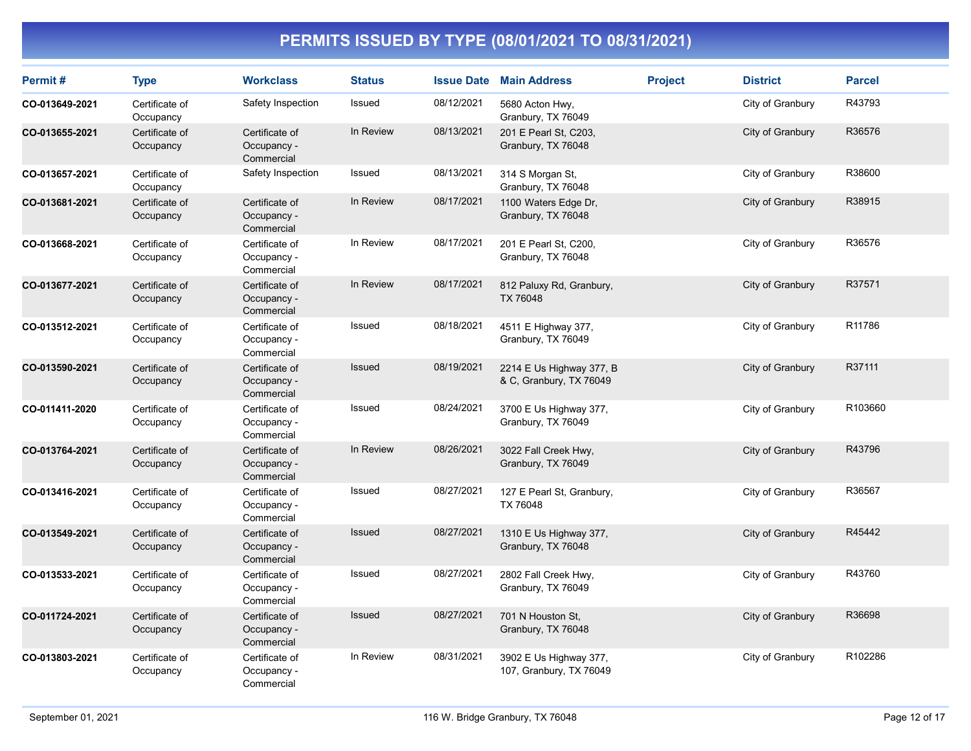| Permit#        | <b>Type</b>                 | <b>Workclass</b>                            | <b>Status</b> | <b>Issue Date</b> | <b>Main Address</b>                                 | <b>Project</b> | <b>District</b>  | <b>Parcel</b> |
|----------------|-----------------------------|---------------------------------------------|---------------|-------------------|-----------------------------------------------------|----------------|------------------|---------------|
| CO-013649-2021 | Certificate of<br>Occupancy | Safety Inspection                           | Issued        | 08/12/2021        | 5680 Acton Hwy,<br>Granbury, TX 76049               |                | City of Granbury | R43793        |
| CO-013655-2021 | Certificate of<br>Occupancy | Certificate of<br>Occupancy -<br>Commercial | In Review     | 08/13/2021        | 201 E Pearl St, C203,<br>Granbury, TX 76048         |                | City of Granbury | R36576        |
| CO-013657-2021 | Certificate of<br>Occupancy | Safety Inspection                           | Issued        | 08/13/2021        | 314 S Morgan St,<br>Granbury, TX 76048              |                | City of Granbury | R38600        |
| CO-013681-2021 | Certificate of<br>Occupancy | Certificate of<br>Occupancy -<br>Commercial | In Review     | 08/17/2021        | 1100 Waters Edge Dr,<br>Granbury, TX 76048          |                | City of Granbury | R38915        |
| CO-013668-2021 | Certificate of<br>Occupancy | Certificate of<br>Occupancy -<br>Commercial | In Review     | 08/17/2021        | 201 E Pearl St, C200,<br>Granbury, TX 76048         |                | City of Granbury | R36576        |
| CO-013677-2021 | Certificate of<br>Occupancy | Certificate of<br>Occupancy -<br>Commercial | In Review     | 08/17/2021        | 812 Paluxy Rd, Granbury,<br>TX 76048                |                | City of Granbury | R37571        |
| CO-013512-2021 | Certificate of<br>Occupancy | Certificate of<br>Occupancy -<br>Commercial | Issued        | 08/18/2021        | 4511 E Highway 377,<br>Granbury, TX 76049           |                | City of Granbury | R11786        |
| CO-013590-2021 | Certificate of<br>Occupancy | Certificate of<br>Occupancy -<br>Commercial | Issued        | 08/19/2021        | 2214 E Us Highway 377, B<br>& C, Granbury, TX 76049 |                | City of Granbury | R37111        |
| CO-011411-2020 | Certificate of<br>Occupancy | Certificate of<br>Occupancy -<br>Commercial | Issued        | 08/24/2021        | 3700 E Us Highway 377,<br>Granbury, TX 76049        |                | City of Granbury | R103660       |
| CO-013764-2021 | Certificate of<br>Occupancy | Certificate of<br>Occupancy -<br>Commercial | In Review     | 08/26/2021        | 3022 Fall Creek Hwy,<br>Granbury, TX 76049          |                | City of Granbury | R43796        |
| CO-013416-2021 | Certificate of<br>Occupancy | Certificate of<br>Occupancy -<br>Commercial | Issued        | 08/27/2021        | 127 E Pearl St, Granbury,<br>TX 76048               |                | City of Granbury | R36567        |
| CO-013549-2021 | Certificate of<br>Occupancy | Certificate of<br>Occupancy -<br>Commercial | Issued        | 08/27/2021        | 1310 E Us Highway 377,<br>Granbury, TX 76048        |                | City of Granbury | R45442        |
| CO-013533-2021 | Certificate of<br>Occupancy | Certificate of<br>Occupancy -<br>Commercial | Issued        | 08/27/2021        | 2802 Fall Creek Hwy,<br>Granbury, TX 76049          |                | City of Granbury | R43760        |
| CO-011724-2021 | Certificate of<br>Occupancy | Certificate of<br>Occupancy -<br>Commercial | <b>Issued</b> | 08/27/2021        | 701 N Houston St.<br>Granbury, TX 76048             |                | City of Granbury | R36698        |
| CO-013803-2021 | Certificate of<br>Occupancy | Certificate of<br>Occupancy -<br>Commercial | In Review     | 08/31/2021        | 3902 E Us Highway 377,<br>107, Granbury, TX 76049   |                | City of Granbury | R102286       |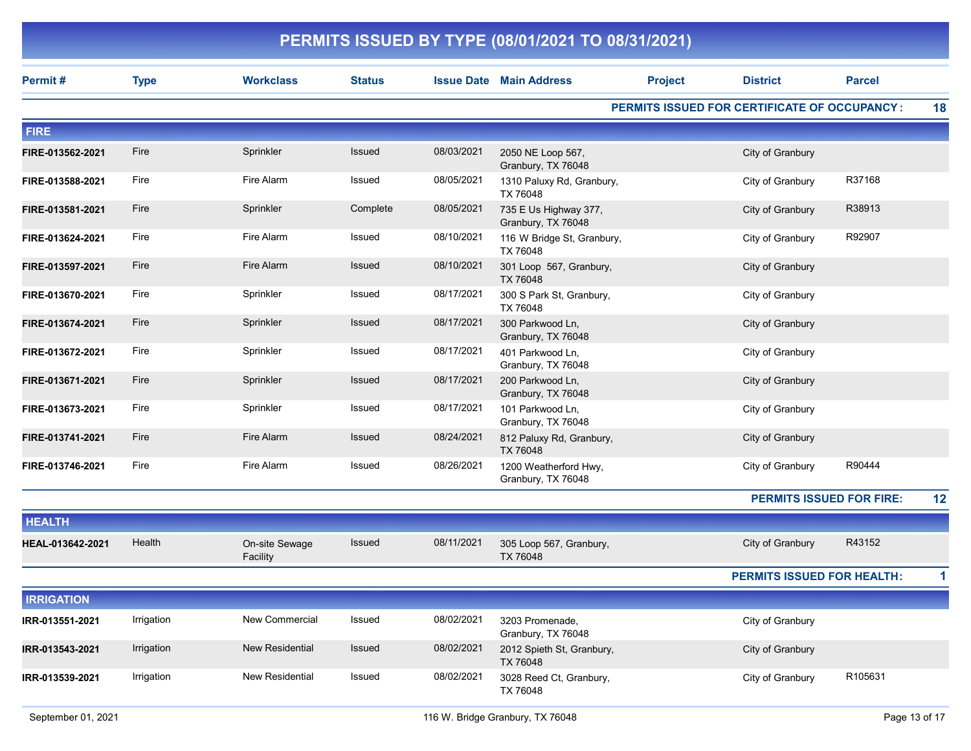|                   |             |                            |               |            | PERMITS ISSUED BY TYPE (08/01/2021 TO 08/31/2021) |                |                                                     |               |    |
|-------------------|-------------|----------------------------|---------------|------------|---------------------------------------------------|----------------|-----------------------------------------------------|---------------|----|
| Permit#           | <b>Type</b> | <b>Workclass</b>           | <b>Status</b> |            | <b>Issue Date Main Address</b>                    | <b>Project</b> | <b>District</b>                                     | <b>Parcel</b> |    |
|                   |             |                            |               |            |                                                   |                | <b>PERMITS ISSUED FOR CERTIFICATE OF OCCUPANCY:</b> |               | 18 |
| <b>FIRE</b>       |             |                            |               |            |                                                   |                |                                                     |               |    |
| FIRE-013562-2021  | Fire        | Sprinkler                  | <b>Issued</b> | 08/03/2021 | 2050 NE Loop 567,<br>Granbury, TX 76048           |                | City of Granbury                                    |               |    |
| FIRE-013588-2021  | Fire        | Fire Alarm                 | Issued        | 08/05/2021 | 1310 Paluxy Rd, Granbury,<br>TX 76048             |                | City of Granbury                                    | R37168        |    |
| FIRE-013581-2021  | Fire        | Sprinkler                  | Complete      | 08/05/2021 | 735 E Us Highway 377,<br>Granbury, TX 76048       |                | City of Granbury                                    | R38913        |    |
| FIRE-013624-2021  | Fire        | Fire Alarm                 | Issued        | 08/10/2021 | 116 W Bridge St, Granbury,<br>TX 76048            |                | City of Granbury                                    | R92907        |    |
| FIRE-013597-2021  | Fire        | Fire Alarm                 | <b>Issued</b> | 08/10/2021 | 301 Loop 567, Granbury,<br>TX 76048               |                | City of Granbury                                    |               |    |
| FIRE-013670-2021  | Fire        | Sprinkler                  | Issued        | 08/17/2021 | 300 S Park St, Granbury,<br>TX 76048              |                | City of Granbury                                    |               |    |
| FIRE-013674-2021  | Fire        | Sprinkler                  | <b>Issued</b> | 08/17/2021 | 300 Parkwood Ln,<br>Granbury, TX 76048            |                | City of Granbury                                    |               |    |
| FIRE-013672-2021  | Fire        | Sprinkler                  | <b>Issued</b> | 08/17/2021 | 401 Parkwood Ln,<br>Granbury, TX 76048            |                | City of Granbury                                    |               |    |
| FIRE-013671-2021  | Fire        | Sprinkler                  | <b>Issued</b> | 08/17/2021 | 200 Parkwood Ln,<br>Granbury, TX 76048            |                | City of Granbury                                    |               |    |
| FIRE-013673-2021  | Fire        | Sprinkler                  | Issued        | 08/17/2021 | 101 Parkwood Ln,<br>Granbury, TX 76048            |                | City of Granbury                                    |               |    |
| FIRE-013741-2021  | Fire        | Fire Alarm                 | <b>Issued</b> | 08/24/2021 | 812 Paluxy Rd, Granbury,<br>TX 76048              |                | City of Granbury                                    |               |    |
| FIRE-013746-2021  | Fire        | Fire Alarm                 | Issued        | 08/26/2021 | 1200 Weatherford Hwy,<br>Granbury, TX 76048       |                | City of Granbury                                    | R90444        |    |
|                   |             |                            |               |            |                                                   |                | <b>PERMITS ISSUED FOR FIRE:</b>                     |               | 12 |
| <b>HEALTH</b>     |             |                            |               |            |                                                   |                |                                                     |               |    |
| HEAL-013642-2021  | Health      | On-site Sewage<br>Facility | <b>Issued</b> | 08/11/2021 | 305 Loop 567, Granbury,<br>TX 76048               |                | City of Granbury                                    | R43152        |    |
|                   |             |                            |               |            |                                                   |                | <b>PERMITS ISSUED FOR HEALTH:</b>                   |               | 1  |
| <b>IRRIGATION</b> |             |                            |               |            |                                                   |                |                                                     |               |    |
| IRR-013551-2021   | Irrigation  | New Commercial             | Issued        | 08/02/2021 | 3203 Promenade,<br>Granbury, TX 76048             |                | City of Granbury                                    |               |    |
| IRR-013543-2021   | Irrigation  | <b>New Residential</b>     | Issued        | 08/02/2021 | 2012 Spieth St, Granbury,<br>TX 76048             |                | City of Granbury                                    |               |    |
| IRR-013539-2021   | Irrigation  | New Residential            | Issued        | 08/02/2021 | 3028 Reed Ct, Granbury,<br>TX 76048               |                | City of Granbury                                    | R105631       |    |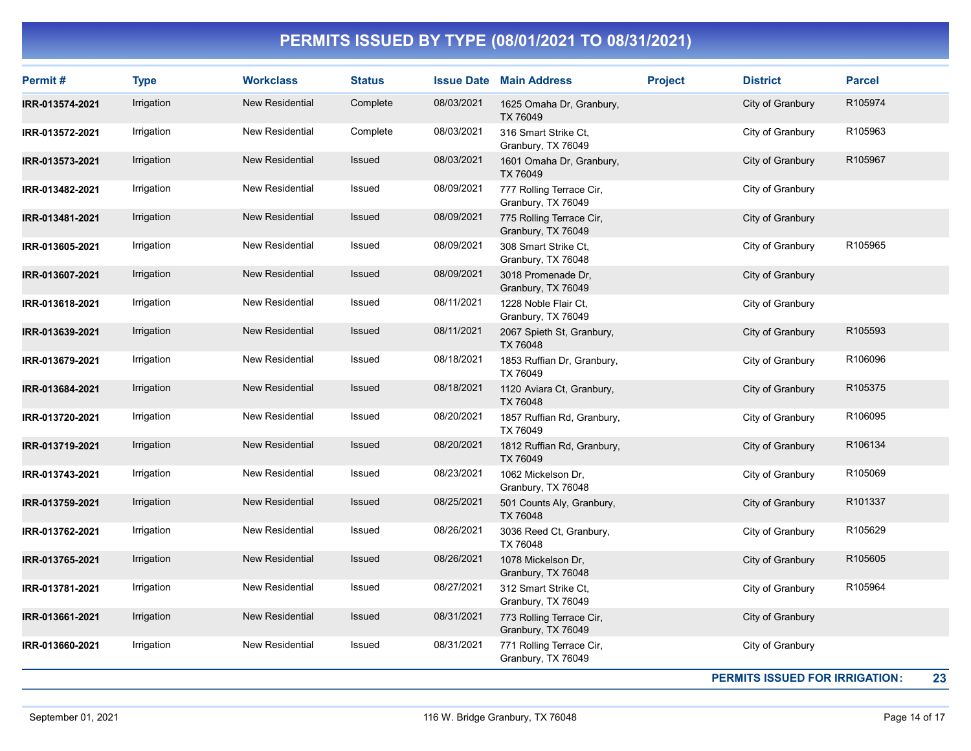| Permit#         | <b>Type</b> | <b>Workclass</b>       | <b>Status</b> |            | <b>Issue Date Main Address</b>                 | <b>Project</b> | <b>District</b>                       | <b>Parcel</b> |
|-----------------|-------------|------------------------|---------------|------------|------------------------------------------------|----------------|---------------------------------------|---------------|
| IRR-013574-2021 | Irrigation  | <b>New Residential</b> | Complete      | 08/03/2021 | 1625 Omaha Dr, Granbury,<br>TX 76049           |                | City of Granbury                      | R105974       |
| IRR-013572-2021 | Irrigation  | New Residential        | Complete      | 08/03/2021 | 316 Smart Strike Ct.<br>Granbury, TX 76049     |                | City of Granbury                      | R105963       |
| IRR-013573-2021 | Irrigation  | New Residential        | Issued        | 08/03/2021 | 1601 Omaha Dr, Granbury,<br>TX 76049           |                | City of Granbury                      | R105967       |
| IRR-013482-2021 | Irrigation  | New Residential        | Issued        | 08/09/2021 | 777 Rolling Terrace Cir,<br>Granbury, TX 76049 |                | City of Granbury                      |               |
| IRR-013481-2021 | Irrigation  | <b>New Residential</b> | Issued        | 08/09/2021 | 775 Rolling Terrace Cir,<br>Granbury, TX 76049 |                | City of Granbury                      |               |
| IRR-013605-2021 | Irrigation  | New Residential        | Issued        | 08/09/2021 | 308 Smart Strike Ct.<br>Granbury, TX 76048     |                | City of Granbury                      | R105965       |
| IRR-013607-2021 | Irrigation  | <b>New Residential</b> | <b>Issued</b> | 08/09/2021 | 3018 Promenade Dr,<br>Granbury, TX 76049       |                | City of Granbury                      |               |
| IRR-013618-2021 | Irrigation  | New Residential        | Issued        | 08/11/2021 | 1228 Noble Flair Ct.<br>Granbury, TX 76049     |                | City of Granbury                      |               |
| IRR-013639-2021 | Irrigation  | New Residential        | Issued        | 08/11/2021 | 2067 Spieth St, Granbury,<br>TX 76048          |                | City of Granbury                      | R105593       |
| IRR-013679-2021 | Irrigation  | New Residential        | Issued        | 08/18/2021 | 1853 Ruffian Dr, Granbury,<br>TX 76049         |                | City of Granbury                      | R106096       |
| IRR-013684-2021 | Irrigation  | <b>New Residential</b> | Issued        | 08/18/2021 | 1120 Aviara Ct, Granbury,<br>TX 76048          |                | City of Granbury                      | R105375       |
| IRR-013720-2021 | Irrigation  | New Residential        | Issued        | 08/20/2021 | 1857 Ruffian Rd, Granbury,<br>TX 76049         |                | City of Granbury                      | R106095       |
| IRR-013719-2021 | Irrigation  | <b>New Residential</b> | Issued        | 08/20/2021 | 1812 Ruffian Rd, Granbury,<br>TX 76049         |                | City of Granbury                      | R106134       |
| IRR-013743-2021 | Irrigation  | New Residential        | Issued        | 08/23/2021 | 1062 Mickelson Dr.<br>Granbury, TX 76048       |                | City of Granbury                      | R105069       |
| IRR-013759-2021 | Irrigation  | New Residential        | Issued        | 08/25/2021 | 501 Counts Aly, Granbury,<br>TX 76048          |                | City of Granbury                      | R101337       |
| IRR-013762-2021 | Irrigation  | New Residential        | Issued        | 08/26/2021 | 3036 Reed Ct, Granbury,<br>TX 76048            |                | City of Granbury                      | R105629       |
| IRR-013765-2021 | Irrigation  | <b>New Residential</b> | Issued        | 08/26/2021 | 1078 Mickelson Dr.<br>Granbury, TX 76048       |                | City of Granbury                      | R105605       |
| IRR-013781-2021 | Irrigation  | New Residential        | Issued        | 08/27/2021 | 312 Smart Strike Ct.<br>Granbury, TX 76049     |                | City of Granbury                      | R105964       |
| IRR-013661-2021 | Irrigation  | New Residential        | Issued        | 08/31/2021 | 773 Rolling Terrace Cir,<br>Granbury, TX 76049 |                | City of Granbury                      |               |
| IRR-013660-2021 | Irrigation  | New Residential        | Issued        | 08/31/2021 | 771 Rolling Terrace Cir,<br>Granbury, TX 76049 |                | City of Granbury                      |               |
|                 |             |                        |               |            |                                                |                | <b>PERMITS ISSUED FOR IRRIGATION:</b> | 23            |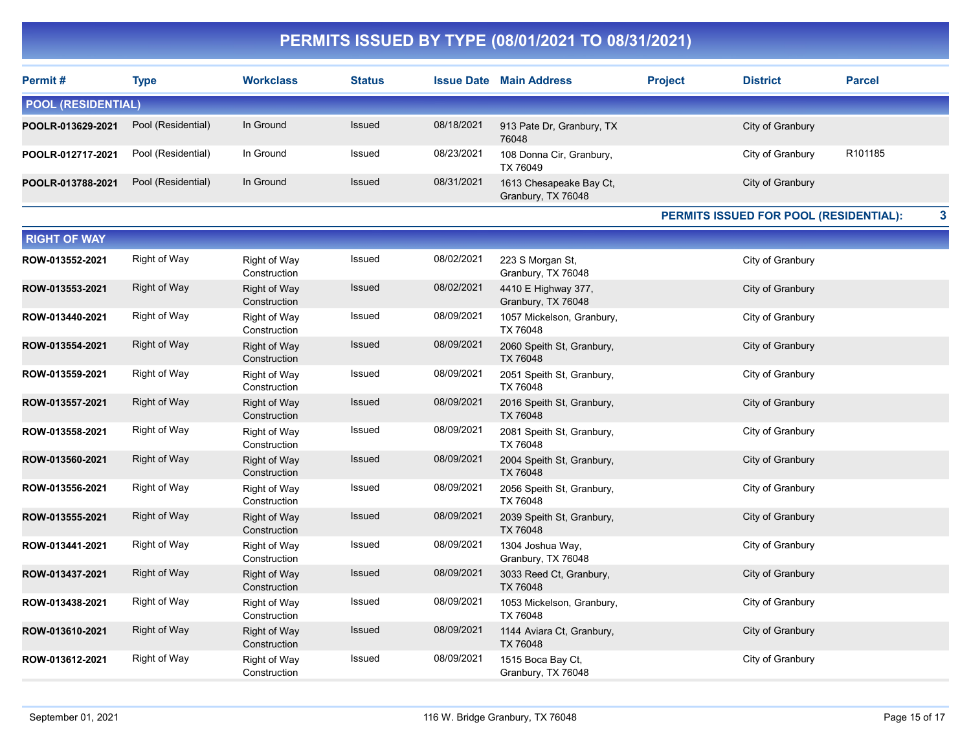| Permit#                   | Type               | <b>Workclass</b> | <b>Status</b> | <b>Issue Date</b> | <b>Main Address</b>                           | <b>Project</b> | <b>District</b>  | <b>Parcel</b>       |  |
|---------------------------|--------------------|------------------|---------------|-------------------|-----------------------------------------------|----------------|------------------|---------------------|--|
| <b>POOL (RESIDENTIAL)</b> |                    |                  |               |                   |                                               |                |                  |                     |  |
| POOLR-013629-2021         | Pool (Residential) | In Ground        | <b>Issued</b> | 08/18/2021        | 913 Pate Dr, Granbury, TX<br>76048            |                | City of Granbury |                     |  |
| POOLR-012717-2021         | Pool (Residential) | In Ground        | Issued        | 08/23/2021        | 108 Donna Cir, Granbury,<br>TX 76049          |                | City of Granbury | R <sub>101185</sub> |  |
| POOLR-013788-2021         | Pool (Residential) | In Ground        | <b>Issued</b> | 08/31/2021        | 1613 Chesapeake Bay Ct,<br>Granbury, TX 76048 |                | City of Granbury |                     |  |

PERMITS ISSUED FOR POOL (RESIDENTIAL): 3

| <b>RIGHT OF WAY</b> |              |                                     |               |            |                                           |                  |
|---------------------|--------------|-------------------------------------|---------------|------------|-------------------------------------------|------------------|
| ROW-013552-2021     | Right of Way | Right of Way<br>Construction        | Issued        | 08/02/2021 | 223 S Morgan St,<br>Granbury, TX 76048    | City of Granbury |
| ROW-013553-2021     | Right of Way | Right of Way<br>Construction        | Issued        | 08/02/2021 | 4410 E Highway 377,<br>Granbury, TX 76048 | City of Granbury |
| ROW-013440-2021     | Right of Way | Right of Way<br>Construction        | Issued        | 08/09/2021 | 1057 Mickelson, Granbury,<br>TX 76048     | City of Granbury |
| ROW-013554-2021     | Right of Way | Right of Way<br>Construction        | Issued        | 08/09/2021 | 2060 Speith St, Granbury,<br>TX 76048     | City of Granbury |
| ROW-013559-2021     | Right of Way | Right of Way<br>Construction        | Issued        | 08/09/2021 | 2051 Speith St, Granbury,<br>TX 76048     | City of Granbury |
| ROW-013557-2021     | Right of Way | Right of Way<br>Construction        | Issued        | 08/09/2021 | 2016 Speith St, Granbury,<br>TX 76048     | City of Granbury |
| ROW-013558-2021     | Right of Way | Right of Way<br>Construction        | Issued        | 08/09/2021 | 2081 Speith St, Granbury,<br>TX 76048     | City of Granbury |
| ROW-013560-2021     | Right of Way | <b>Right of Way</b><br>Construction | Issued        | 08/09/2021 | 2004 Speith St, Granbury,<br>TX 76048     | City of Granbury |
| ROW-013556-2021     | Right of Way | Right of Way<br>Construction        | Issued        | 08/09/2021 | 2056 Speith St, Granbury,<br>TX 76048     | City of Granbury |
| ROW-013555-2021     | Right of Way | Right of Way<br>Construction        | Issued        | 08/09/2021 | 2039 Speith St, Granbury,<br>TX 76048     | City of Granbury |
| ROW-013441-2021     | Right of Way | Right of Way<br>Construction        | Issued        | 08/09/2021 | 1304 Joshua Way,<br>Granbury, TX 76048    | City of Granbury |
| ROW-013437-2021     | Right of Way | Right of Way<br>Construction        | Issued        | 08/09/2021 | 3033 Reed Ct, Granbury,<br>TX 76048       | City of Granbury |
| ROW-013438-2021     | Right of Way | Right of Way<br>Construction        | Issued        | 08/09/2021 | 1053 Mickelson, Granbury,<br>TX 76048     | City of Granbury |
| ROW-013610-2021     | Right of Way | Right of Way<br>Construction        | <b>Issued</b> | 08/09/2021 | 1144 Aviara Ct, Granbury,<br>TX 76048     | City of Granbury |
| ROW-013612-2021     | Right of Way | Right of Way<br>Construction        | Issued        | 08/09/2021 | 1515 Boca Bay Ct,<br>Granbury, TX 76048   | City of Granbury |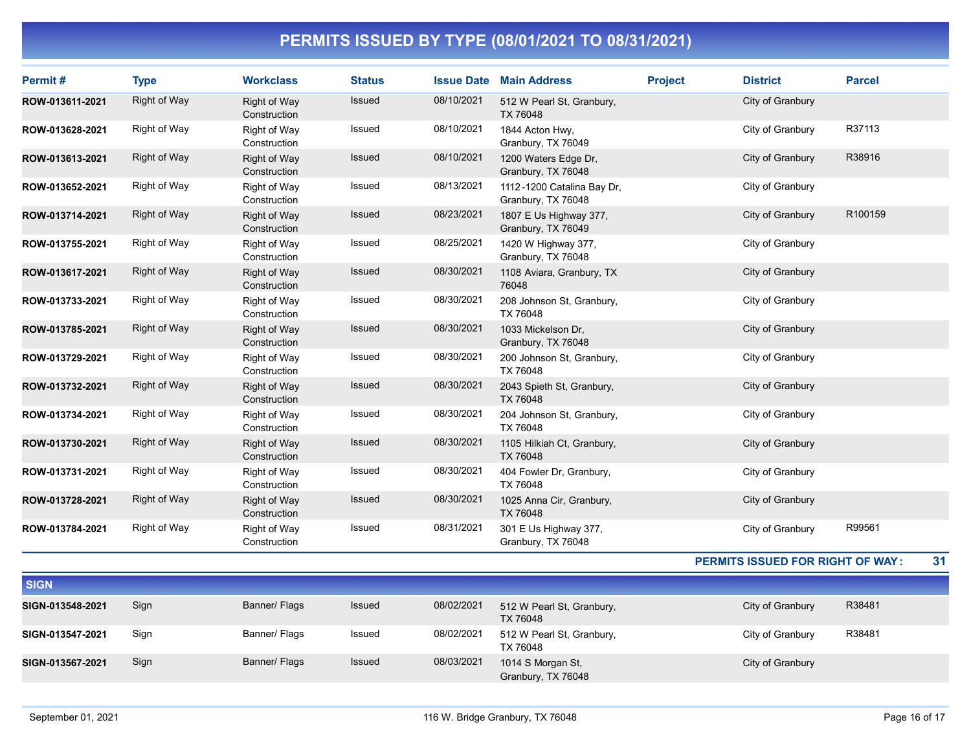| Permit#         | <b>Type</b>         | <b>Workclass</b>             | <b>Status</b> | <b>Issue Date</b> | <b>Main Address</b>                              | <b>Project</b> | <b>District</b>  | <b>Parcel</b> |
|-----------------|---------------------|------------------------------|---------------|-------------------|--------------------------------------------------|----------------|------------------|---------------|
| ROW-013611-2021 | <b>Right of Way</b> | Right of Way<br>Construction | Issued        | 08/10/2021        | 512 W Pearl St, Granbury,<br>TX 76048            |                | City of Granbury |               |
| ROW-013628-2021 | Right of Way        | Right of Way<br>Construction | Issued        | 08/10/2021        | 1844 Acton Hwy,<br>Granbury, TX 76049            |                | City of Granbury | R37113        |
| ROW-013613-2021 | <b>Right of Way</b> | Right of Way<br>Construction | Issued        | 08/10/2021        | 1200 Waters Edge Dr,<br>Granbury, TX 76048       |                | City of Granbury | R38916        |
| ROW-013652-2021 | Right of Way        | Right of Way<br>Construction | Issued        | 08/13/2021        | 1112-1200 Catalina Bay Dr,<br>Granbury, TX 76048 |                | City of Granbury |               |
| ROW-013714-2021 | <b>Right of Way</b> | Right of Way<br>Construction | Issued        | 08/23/2021        | 1807 E Us Highway 377,<br>Granbury, TX 76049     |                | City of Granbury | R100159       |
| ROW-013755-2021 | Right of Way        | Right of Way<br>Construction | Issued        | 08/25/2021        | 1420 W Highway 377,<br>Granbury, TX 76048        |                | City of Granbury |               |
| ROW-013617-2021 | <b>Right of Way</b> | Right of Way<br>Construction | Issued        | 08/30/2021        | 1108 Aviara, Granbury, TX<br>76048               |                | City of Granbury |               |
| ROW-013733-2021 | <b>Right of Way</b> | Right of Way<br>Construction | Issued        | 08/30/2021        | 208 Johnson St, Granbury,<br>TX 76048            |                | City of Granbury |               |
| ROW-013785-2021 | <b>Right of Way</b> | Right of Way<br>Construction | Issued        | 08/30/2021        | 1033 Mickelson Dr.<br>Granbury, TX 76048         |                | City of Granbury |               |
| ROW-013729-2021 | Right of Way        | Right of Way<br>Construction | Issued        | 08/30/2021        | 200 Johnson St, Granbury,<br>TX 76048            |                | City of Granbury |               |
| ROW-013732-2021 | <b>Right of Way</b> | Right of Way<br>Construction | Issued        | 08/30/2021        | 2043 Spieth St, Granbury,<br>TX 76048            |                | City of Granbury |               |
| ROW-013734-2021 | Right of Way        | Right of Way<br>Construction | Issued        | 08/30/2021        | 204 Johnson St, Granbury,<br>TX 76048            |                | City of Granbury |               |
| ROW-013730-2021 | <b>Right of Way</b> | Right of Way<br>Construction | Issued        | 08/30/2021        | 1105 Hilkiah Ct, Granbury,<br>TX 76048           |                | City of Granbury |               |
| ROW-013731-2021 | Right of Way        | Right of Way<br>Construction | Issued        | 08/30/2021        | 404 Fowler Dr, Granbury,<br>TX 76048             |                | City of Granbury |               |
| ROW-013728-2021 | <b>Right of Way</b> | Right of Way<br>Construction | Issued        | 08/30/2021        | 1025 Anna Cir, Granbury,<br>TX 76048             |                | City of Granbury |               |
| ROW-013784-2021 | Right of Way        | Right of Way<br>Construction | Issued        | 08/31/2021        | 301 E Us Highway 377,<br>Granbury, TX 76048      |                | City of Granbury | R99561        |

#### PERMITS ISSUED FOR RIGHT OF WAY : 31

| <b>SIGN</b>      |      |               |        |            |                                         |                  |        |
|------------------|------|---------------|--------|------------|-----------------------------------------|------------------|--------|
| SIGN-013548-2021 | Sign | Banner/ Flags | Issued | 08/02/2021 | 512 W Pearl St, Granbury,<br>TX 76048   | City of Granbury | R38481 |
| SIGN-013547-2021 | Sign | Banner/ Flags | Issued | 08/02/2021 | 512 W Pearl St, Granbury,<br>TX 76048   | City of Granbury | R38481 |
| SIGN-013567-2021 | Sign | Banner/ Flags | Issued | 08/03/2021 | 1014 S Morgan St,<br>Granbury, TX 76048 | City of Granbury |        |